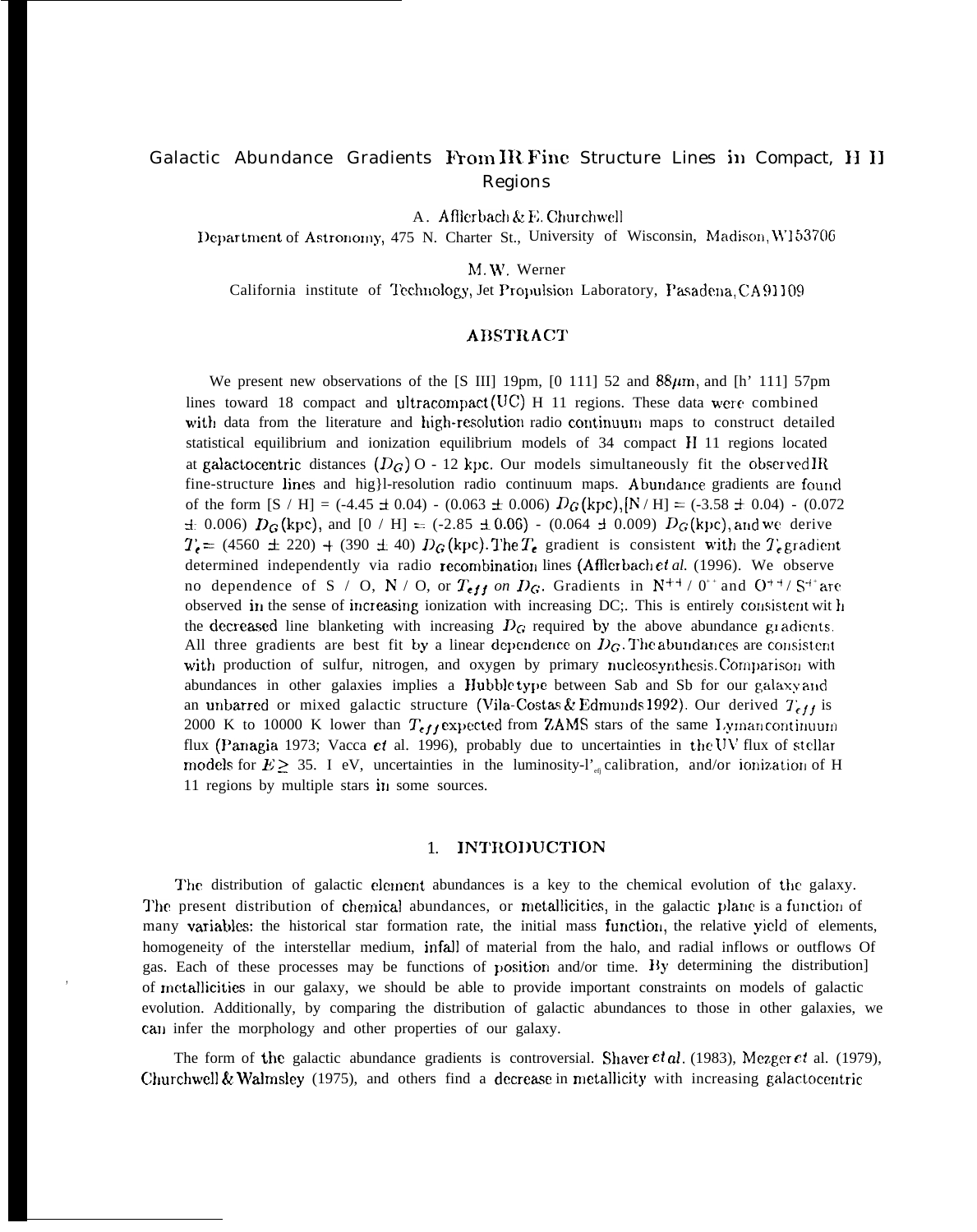# Galactic Abundance Gradients From IR Fine Structure Lines in Compact, H II Regions

A. Afflerbach & E. Churchwell

Department of Astronomy, 475 N. Charter St., University of Wisconsin, Madison, W153706

M.W. Werner

California institute of Technology, Jet Propulsion Laboratory, Pasadena, CA 91109

# **ABSTRACT**

We present new observations of the [S III] 19pm, [0 111] 52 and  $88\mu$ m, and [h' 111] 57pm lines toward 18 compact and ultracompact (UC)  $H$  11 regions. These data were combined with data from the literature and high-resolution radio continuum maps to construct detailed statistical equilibrium and ionization equilibrium models of 34 compact H 11 regions located at galactocentric distances  $(D_G)$  O - 12 kpc. Our models simultaneously fit the observed IR fine-structure lines and hig}l-resolution radio continuum maps. Abundance gradients are found of the form  $[S/H] = (-4.45 \pm 0.04) - (0.063 \pm 0.006) D_G(kpc), [N/H] = (-3.58 \pm 0.04) - (0.072)$  $\pm$  0.006)  $D_G$ (kpc), and [0 / H] = (-2.85  $\pm$  0.06) - (0.064  $\pm$  0.009)  $D_G$ (kpc), and we derive  $T_e = (4560 \pm 220) + (390 \pm 40) D_G$  (kpc). The  $T_e$  gradient is consistent with the  $T_e$  gradient determined independently via radio recombination lines (Afflerbach et al. (1996). We observe no dependence of S / O, N / O, or  $T_{eff}$  on  $D_G$ . Gradients in N<sup>++</sup> / 0<sup>++</sup> and O<sup>++</sup>/S<sup>++</sup> are observed in the sense of increasing ionization with increasing DC;. This is entirely consistent with the decreased line blanketing with increasing  $D_G$  required by the above abundance gradients. All three gradients are best fit by a linear dependence on  $D_G$ . The abundances are consistent with production of sulfur, nitrogen, and oxygen by primary nucleosynthesis. Comparison with abundances in other galaxies implies a Hubble type between Sab and Sb for our galaxy and an unbarred or mixed galactic structure (Vila-Costas & Edmunds 1992). Our derived  $T_{eff}$  is 2000 K to 10000 K lower than  $T_{eff}$  expected from ZAMS stars of the same Lyman continuum flux (Panagia 1973; Vacca et al. 1996), probably due to uncertainties in the UV flux of stellar models for  $E \ge 35$ . I eV, uncertainties in the luminosity-l'<sub>en</sub> calibration, and/or ionization of H 11 regions by multiple stars in some sources.

# 1. INTRODUCTION

The distribution of galactic element abundances is a key to the chemical evolution of the galaxy. The present distribution of chemical abundances, or metallicities, in the galactic plane is a function of many variables: the historical star formation rate, the initial mass function, the relative yield of elements, homogeneity of the interstellar medium, infall of material from the halo, and radial inflows or outflows Of gas. Each of these processes may be functions of position and/or time. By determining the distribution] of metallicities in our galaxy, we should be able to provide important constraints on models of galactic evolution. Additionally, by comparing the distribution of galactic abundances to those in other galaxies, we can infer the morphology and other properties of our galaxy.

The form of the galactic abundance gradients is controversial. Shaver  $et al. (1983)$ , Mezger  $et al. (1979)$ , Churchwell & Walmsley (1975), and others find a decrease in metallicity with increasing galactocentric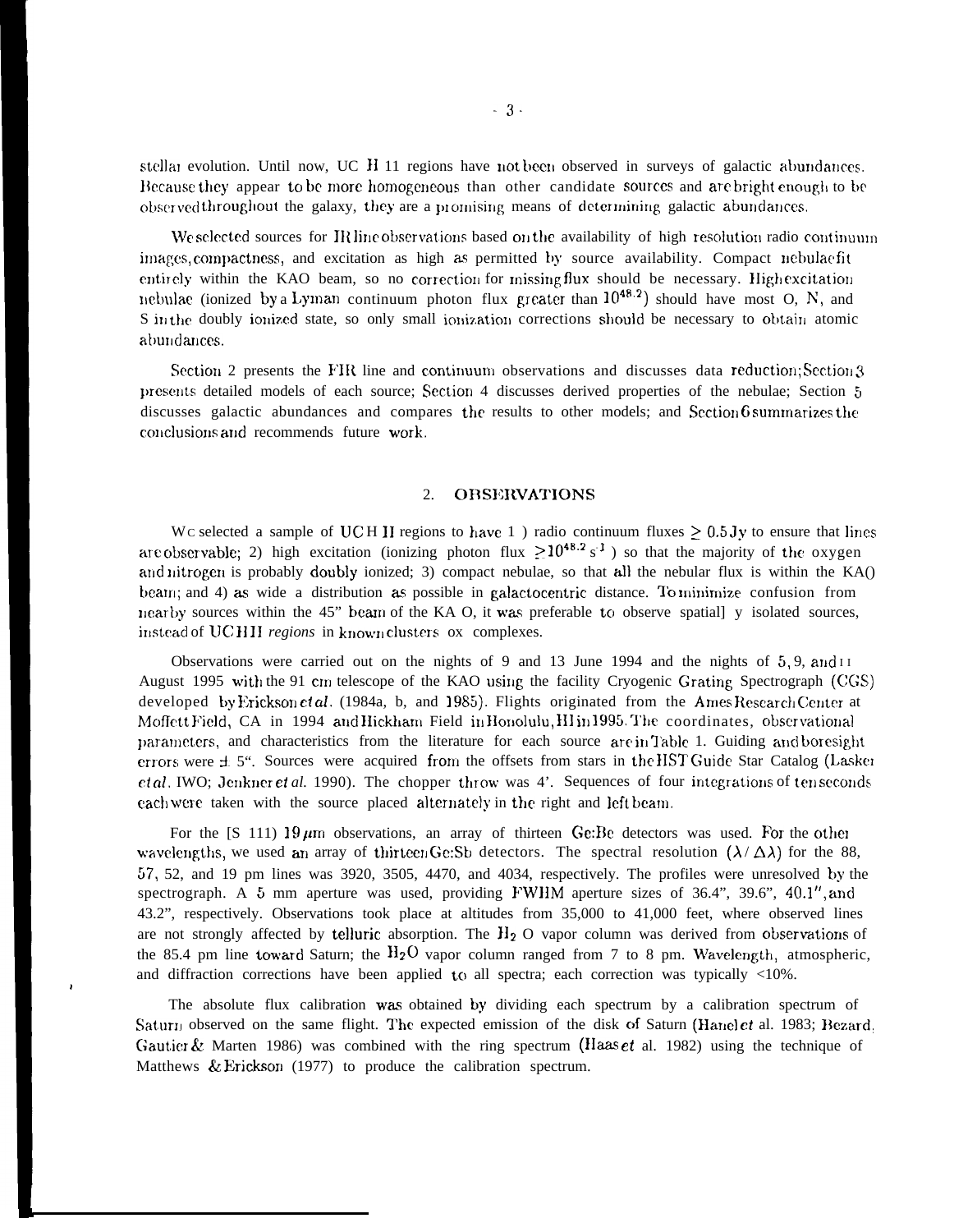stellar evolution. Until now, UC H 11 regions have not been observed in surveys of galactic abundances. Because they appear to be more homogeneous than other candidate sources and are bright enough to be observed throughout the galaxy, they are a promising means of determining galactic abundances.

We selected sources for IR line observations based on the availability of high resolution radio continuum images, compactness, and excitation as high as permitted by source availability. Compact nebulaefit entirely within the KAO beam, so no correction for missing flux should be necessary. Highexcitation nebulae (ionized by a Lyman continuum photon flux greater than  $10^{48.2}$ ) should have most O, N, and S in the doubly ionized state, so only small ionization corrections should be necessary to obtain atomic abundances.

Section 2 presents the FIR line and continuum observations and discusses data reduction; Section 3 presents detailed models of each source; Section 4 discusses derived properties of the nebulae; Section 5 discusses galactic abundances and compares the results to other models; and Section 6 summarizes the conclusions and recommends future work.

#### **OBSERVATIONS**  $2.$

Wc selected a sample of UCH II regions to have 1) radio continuum fluxes  $\geq 0.5$  Jy to ensure that lines are observable; 2) high excitation (ionizing photon flux  $\geq 10^{48.2}$  s<sup>1</sup>) so that the majority of the oxygen and nitrogen is probably doubly ionized; 3) compact nebulae, so that all the nebular flux is within the KA() beam; and 4) as wide a distribution as possible in galactocentric distance. To minimize confusion from nearby sources within the 45" beam of the KA O, it was preferable to observe spatial] y isolated sources, instead of UCHII regions in known clusters ox complexes.

Observations were carried out on the nights of 9 and 13 June 1994 and the nights of  $5.9$ , and  $11$ August 1995 with the 91 cm telescope of the KAO using the facility Cryogenic Grating Spectrograph (CGS) developed by Erickson *et al.* (1984a, b. and 1985). Flights originated from the Ames Research Center at Moffett Field, CA in 1994 and Hickham Field in Honolulu, HI in 1995. The coordinates, observational parameters, and characteristics from the literature for each source are in Table 1. Guiding and boresight errors were ± 5". Sources were acquired from the offsets from stars in the HST Guide Star Catalog (Lasker *etal*. IWO; Jenkner *et al.* 1990). The chopper throw was 4'. Sequences of four integrations of tenseconds each were taken with the source placed alternately in the right and left beam.

For the [S 111) 19  $\mu$ m observations, an array of thirteen Ge: Be detectors was used. For the other wavelengths, we used an array of thirteen Ge:Sb detectors. The spectral resolution  $(\lambda/\Delta\lambda)$  for the 88,  $57, 52,$  and 19 pm lines was 3920, 3505, 4470, and 4034, respectively. The profiles were unresolved by the spectrograph. A 5 mm aperture was used, providing FWHM aperture sizes of 36.4", 39.6", 40.1", and 43.2", respectively. Observations took place at altitudes from 35,000 to 41,000 feet, where observed lines are not strongly affected by telluric absorption. The  $H_2$  O vapor column was derived from observations of the 85.4 pm line toward Saturn; the  $H_2O$  vapor column ranged from 7 to 8 pm. Wavelength, atmospheric, and diffraction corrections have been applied to all spectra; each correction was typically <10%.

The absolute flux calibration was obtained by dividing each spectrum by a calibration spectrum of Saturn observed on the same flight. The expected emission of the disk of Saturn (Hanel et al. 1983; Bezard, Gautier & Marten 1986) was combined with the ring spectrum ( $I$ laas *et* al. 1982) using the technique of Matthews & Erickson (1977) to produce the calibration spectrum.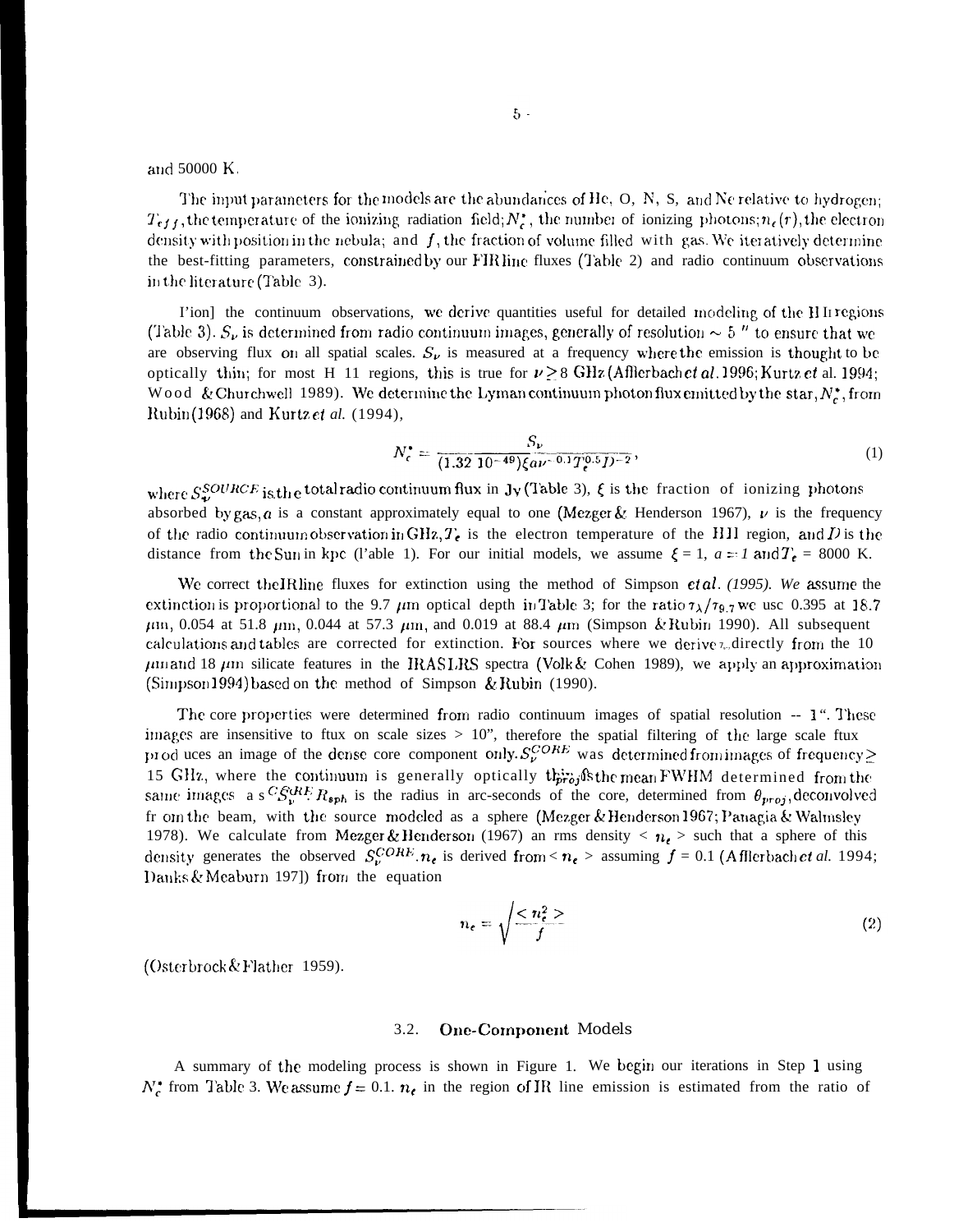and 50000 K.

The input parameters for the models are the abundances of He, O, N, S, and Ne relative to hydrogen;  $T_{eff}$ , the temperature of the ionizing radiation field;  $N_c^*$ , the number of ionizing photons;  $n_c(r)$ , the electron density with position in the nebula; and  $f$ , the fraction of volume filled with gas. We iteratively determine the best-fitting parameters, constrained by our FIR line fluxes (Table 2) and radio continuum observations in the literature (Table 3).

I'ion] the continuum observations, we derive quantities useful for detailed modeling of the HI regions (Table 3).  $S_{\nu}$  is determined from radio continuum images, generally of resolution  $\sim 5$  " to ensure that we are observing flux on all spatial scales.  $S_{\nu}$  is measured at a frequency where the emission is thought to be optically thin; for most H 11 regions, this is true for  $\nu \geq 8$  GHz (Afflerbach et al. 1996; Kurtz et al. 1994; Wood & Churchwell 1989). We determine the Lyman continuum photon flux emitted by the star,  $N_c^*$ , from Rubin(1968) and Kurtz et al. (1994),

$$
N_c^* = \frac{S_{\nu}}{(1.32 \ 10^{-49})\xi a \nu^{-0.1} T_c^{0.5} D^{-2}},\tag{1}
$$

where  $S_{\mu\nu}^{SOURCE}$  is the total radio continuum flux in Jy (Table 3),  $\xi$  is the fraction of ionizing photons absorbed by gas,  $a$  is a constant approximately equal to one (Mezger & Henderson 1967),  $\nu$  is the frequency of the radio continuum observation in GHz,  $T_e$  is the electron temperature of the HII region, and D is the distance from the Sun in kpc (l'able 1). For our initial models, we assume  $\xi = 1$ ,  $a = 1$  and  $T_c = 8000$  K.

We correct the IRline fluxes for extinction using the method of Simpson  $et al. (1995)$ . We assume the extinction is proportional to the 9.7  $\mu$ m optical depth in Table 3; for the ratio  $\tau_{\lambda}/\tau_{9.7}$  we use 0.395 at 18.7  $\mu$ m, 0.054 at 51.8  $\mu$ m, 0.044 at 57.3  $\mu$ m, and 0.019 at 88.4  $\mu$ m (Simpson & Rubin 1990). All subsequent calculations and tables are corrected for extinction. For sources where we derive  $\tau_{\nu}$  directly from the 10  $\mu$ m and 18  $\mu$ m silicate features in the IRASLRS spectra (Volk & Cohen 1989), we apply an approximation (Simpson 1994) based on the method of Simpson & Rubin (1990).

The core properties were determined from radio continuum images of spatial resolution -- 1". These images are insensitive to flux on scale sizes  $> 10$ ", therefore the spatial filtering of the large scale flux produces an image of the dense core component only.  $S_{\nu}^{CORE}$  was determined from images of frequency  $\geq$ 15 GHz, where the continuum is generally optically this, fish mean FWHM determined from the same images a s<sup>C</sup> $S_v^{QHE}$ R<sub>sph</sub> is the radius in arc-seconds of the core, determined from  $\theta_{proj}$ , deconvolved fr om the beam, with the source modeled as a sphere (Mezger & Henderson 1967; Panagia & Walmsley 1978). We calculate from Mezger & Henderson (1967) an rms density <  $n_e$  > such that a sphere of this density generates the observed  $S_v^{CORF} \cdot n_e$  is derived from <  $n_e$  > assuming  $f = 0.1$  (Afflerbach et al. 1994; Danks & Meaburn 197]) from the equation

$$
n_e = \sqrt{\frac{m_e^2}{f}} \tag{2}
$$

(Osterbrock & Flather 1959).

#### $3.2.$ **One-Component Models**

A summary of the modeling process is shown in Figure 1. We begin our iterations in Step 1 using  $N_c^*$  from Table 3. We assume  $f = 0.1$ .  $n_c$  in the region of IR line emission is estimated from the ratio of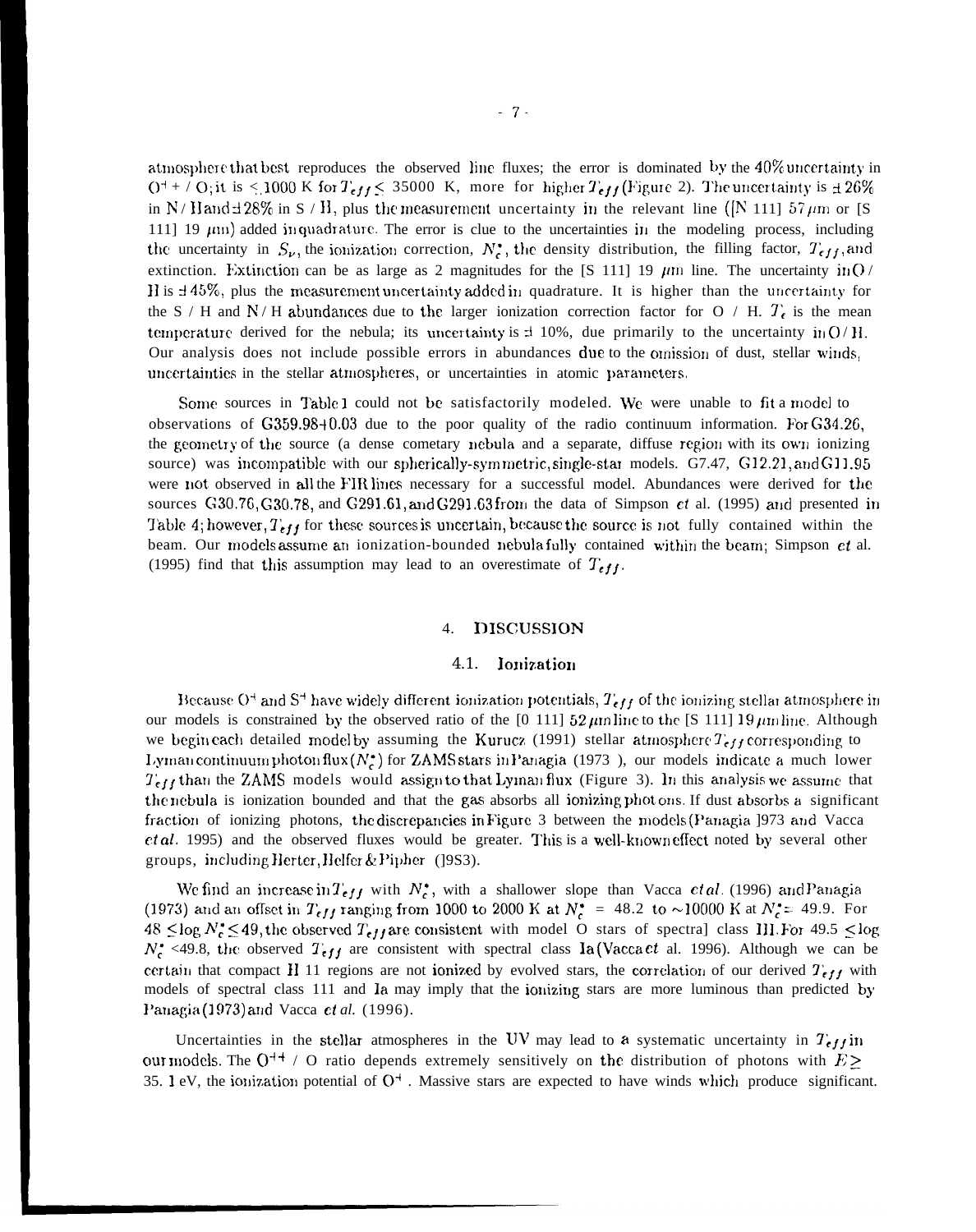atmosphere that best reproduces the observed line fluxes; the error is dominated by the 40% uncertainty in  $O^+$  + /  $O_2$ ; it is < 1000 K for  $T_{eff}$  < 35000 K, more for higher  $T_{eff}$  (Figure 2). The uncertainty is  $\pm 26\%$ in N/H and  $\pm$  28% in S / H, plus the measurement uncertainty in the relevant line ([N 111] 57  $\mu$ m or [S 111] 19  $\mu$ m) added in quadrature. The error is clue to the uncertainties in the modeling process, including the uncertainty in  $S_{\nu}$ , the ionization correction,  $N_c^*$ , the density distribution, the filling factor,  $T_{eff}$ , and extinction. Extinction can be as large as 2 magnitudes for the [S 111] 19  $\mu$ m line. The uncertainty in O/ H is  $\pm 45\%$ , plus the measurement uncertainty added in quadrature. It is higher than the uncertainty for the S / H and N / H abundances due to the larger ionization correction factor for O / H.  $T_e$  is the mean temperature derived for the nebula; its uncertainty is  $\pm$  10%, due primarily to the uncertainty in O/H. Our analysis does not include possible errors in abundances due to the omission of dust, stellar winds, uncertainties in the stellar atmospheres, or uncertainties in atomic parameters.

Some sources in Table 1 could not be satisfactorily modeled. We were unable to fit a model to observations of  $G359.98+0.03$  due to the poor quality of the radio continuum information. For  $G34.26$ , the geometry of the source (a dense cometary nebula and a separate, diffuse region with its own ionizing source) was incompatible with our spherically-symmetric, single-star models. G7.47, G12.21, and G11.95 were not observed in all the FIR lines necessary for a successful model. Abundances were derived for the sources G30.76, G30.78, and G291.61, and G291.63 from the data of Simpson  $et$  al. (1995) and presented in Table 4; however,  $T_{eff}$  for these sources is uncertain, because the source is not fully contained within the beam. Our models assume an ionization-bounded nebula fully contained within the beam; Simpson et al. (1995) find that this assumption may lead to an overestimate of  $T_{eff}$ .

### **DISCUSSION** 4.

### 4.1. Ionization

Because O<sup>+</sup> and S<sup>+</sup> have widely different ionization potentials,  $T_{eff}$  of the ionizing stellar atmosphere in our models is constrained by the observed ratio of the  $[0\ 111]$  52  $\mu$ m line to the  $[$ S 111] 19 $\mu$ m line. Although we begin each detailed model by assuming the Kurucz (1991) stellar atmosphere  $T_{eff}$  corresponding to Lyman continuum photon flux ( $N_c^*$ ) for ZAMS stars in Panagia (1973), our models indicate a much lower  $T_{eff}$  than the ZAMS models would assign to that Lyman flux (Figure 3). In this analysis we assume that the nebula is ionization bounded and that the gas absorbs all ionizing photons. If dust absorbs a significant fraction of ionizing photons, the discrepancies in Figure 3 between the models (Panagia 1973 and Vacca *et al.* 1995) and the observed fluxes would be greater. This is a well-known effect noted by several other groups, including Herter, Helfer & Pipher (1983).

We find an increase in  $T_{eff}$  with  $N_c^*$ , with a shallower slope than Vacca *ctal.* (1996) and Panagia (1973) and an offset in  $T_{eff}$  ranging from 1000 to 2000 K at  $N_c^* = 48.2$  to ~10000 K at  $N_c^* = 49.9$ . For  $48 \le \log N_c^* \le 49$ , the observed  $T_{eff}$  are consistent with model O stars of spectral class III. For 49.5  $\le \log$  $N_c^*$  <49.8, the observed  $T_{eff}$  are consistent with spectral class  $I_a$  (Vacca *et* al. 1996). Although we can be certain that compact H 11 regions are not ionized by evolved stars, the correlation of our derived  $T_{eff}$  with models of spectral class 111 and Ia may imply that the ionizing stars are more luminous than predicted by Panagia (1973) and Vacca et al. (1996).

Uncertainties in the stellar atmospheres in the UV may lead to a systematic uncertainty in  $T_{eff}$  in our models. The  $Q^{++}$  / O ratio depends extremely sensitively on the distribution of photons with  $E \ge$ 35. 1 eV, the ionization potential of  $O^+$ . Massive stars are expected to have winds which produce significant.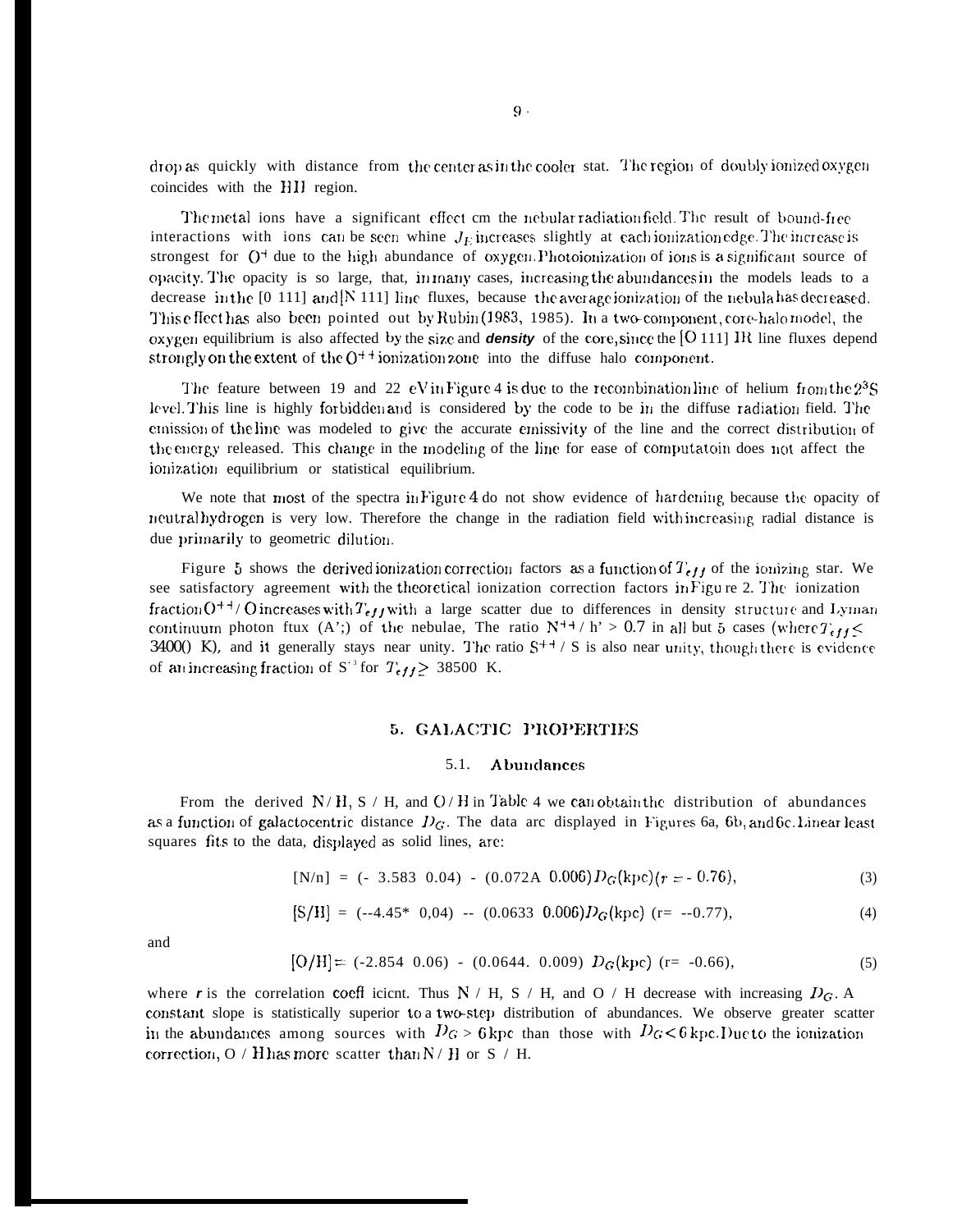drop as quickly with distance from the center as in the cooler stat. The region of doubly ionized oxygen coincides with the HII region.

The metal ions have a significant effect cm the nebular radiation field. The result of bound-free interactions with ions can be seen whine  $J_E$  increases slightly at each ionization edge. The increase is strongest for  $O^+$  due to the high abundance of oxygen. Photoionization of ions is a significant source of opacity. The opacity is so large, that, in many cases, increasing the abundances in the models leads to a decrease in the  $[0 111]$  and  $[N 111]$  line fluxes, because the average ionization of the nebula has decreased. This effect has also been pointed out by Rubin (1983, 1985). In a two-component, core-halo model, the oxygen equilibrium is also affected by the size and **density** of the core, since the [O 111] IR line fluxes depend strongly on the extent of the  $O^{++}$  ionization zone into the diffuse halo component.

The feature between 19 and 22 eV in Figure 4 is due to the recombination line of helium from the  $2^3S$ level. This line is highly forbidden and is considered by the code to be in the diffuse radiation field. The emission of the line was modeled to give the accurate emissivity of the line and the correct distribution of the energy released. This change in the modeling of the line for ease of computatoin does not affect the ionization equilibrium or statistical equilibrium.

We note that most of the spectra in Figure 4 do not show evidence of hardening because the opacity of neutral hydrogen is very low. Therefore the change in the radiation field with increasing radial distance is due primarily to geometric dilution.

Figure 5 shows the derived ionization correction factors as a function of  $T_{eff}$  of the ionizing star. We see satisfactory agreement with the theoretical ionization correction factors in Figure 2. The ionization fraction  $O^{++}/O$  increases with  $T_{eff}$  with a large scatter due to differences in density structure and Lyman continuum photon ftux (A';) of the nebulae, The ratio  $N^{++}$  / h' > 0.7 in all but 5 cases (where  $T_{eff}$ 3400() K), and it generally stays near unity. The ratio  $S^{++}$  / S is also near unity, though there is evidence of an increasing fraction of  $S^{3}$  for  $T_{eff} \geq 38500$  K.

### 5. GALACTIC PROPERTIES

#### **Abundances**  $5.1.$

From the derived  $N/H$ ,  $S/H$ , and  $O/H$  in Table 4 we can obtain the distribution of abundances as a function of galactocentric distance  $D_G$ . The data arc displayed in Figures 6a, 6b, and 6c. Linear least squares fits to the data, displayed as solid lines, are:

$$
[N/n] = (-3.583 \ 0.04) - (0.072A \ 0.006) D_G(kpc)(r = -0.76), \tag{3}
$$

$$
[S/H] = (-4.45* 0.04) - (0.0633 \ 0.006) D_G(kpc) \ (r = -0.77), \tag{4}
$$

and

$$
[O/H] = (-2.854 \ 0.06) - (0.0644 \ 0.009) \ D_G(\text{kpc}) \ (r = -0.66), \tag{5}
$$

where r is the correlation coeff icient. Thus N / H, S / H, and O / H decrease with increasing  $D_G$ . A constant slope is statistically superior to a two-step distribution of abundances. We observe greater scatter in the abundances among sources with  $D_G > 6$  kpc than those with  $D_G < 6$  kpc. Due to the ionization correction, O / H has more scatter than  $N$  / H or S / H.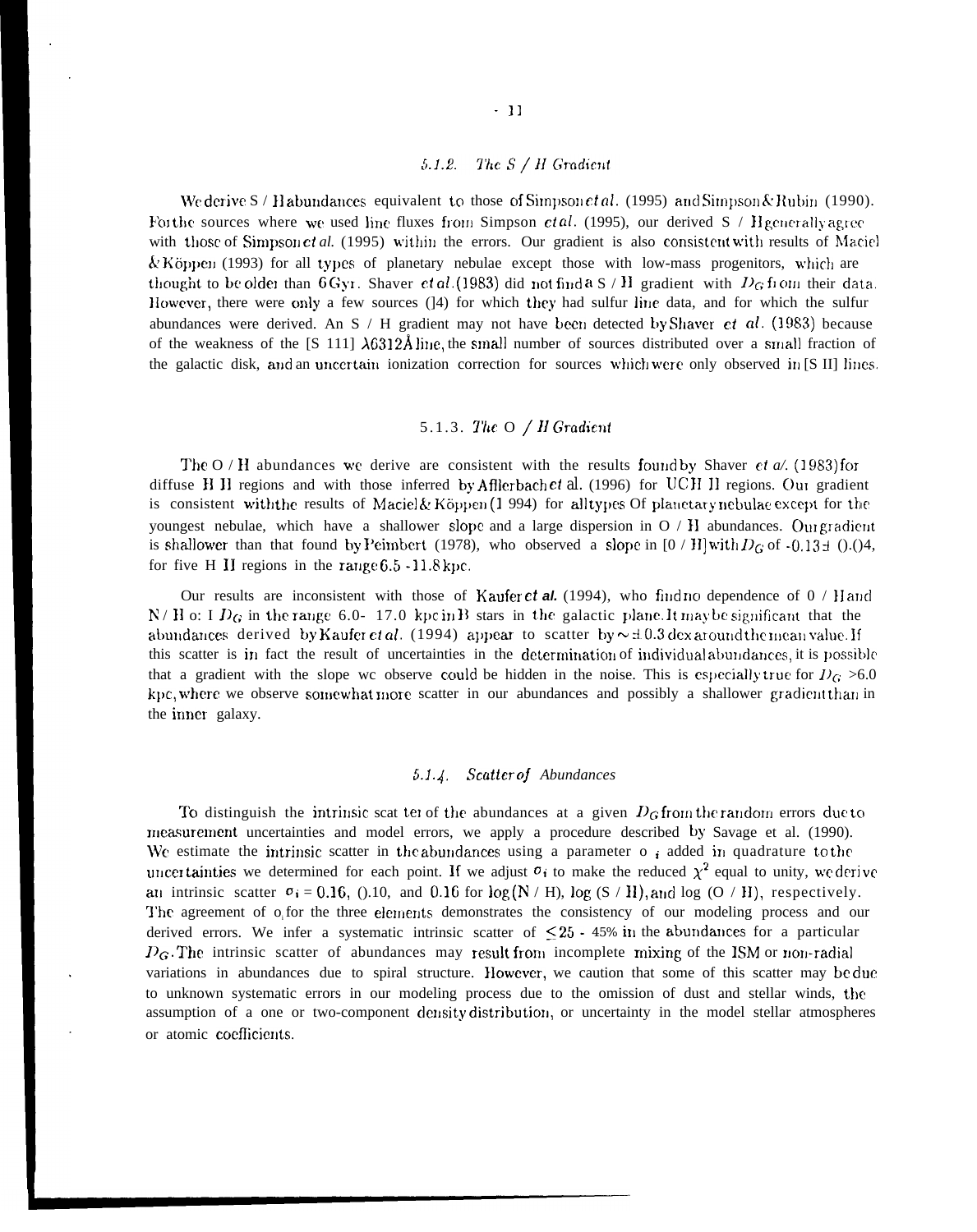### 5.1.2. The  $S/H$  Gradient

We derive S / Habundances equivalent to those of Simpson et al. (1995) and Simpson & Rubin (1990). For the sources where we used line fluxes from Simpson *ctal.* (1995), our derived S / Hgcnerally agree with those of Simpson et al. (1995) within the errors. Our gradient is also consistent with results of Maciel &' Köppen (1993) for all types of planetary nebulae except those with low-mass progenitors, which are thought to be older than 6 Gyr. Shaver et al. (1983) did not find a S / H gradient with  $D_G$  from their data. However, there were only a few sources (14) for which they had sulfur line data, and for which the sulfur abundances were derived. An S / H gradient may not have been detected by Shaver *et al.* (1983) because of the weakness of the  $\left[ \text{S } 111 \right] \lambda 6312\text{\AA}$  line, the small number of sources distributed over a small fraction of the galactic disk, and an uncertain ionization correction for sources which were only observed in  $[**S** II]$  lines.

# 5.1.3. The  $O/H$  Gradient

The O / H abundances we derive are consistent with the results found by Shaver et  $a$ . (1983) for diffuse H II regions and with those inferred by Afflerbach et al. (1996) for UCH II regions. Our gradient is consistent with the results of Maciel & Köppen (1994) for all types Of planetary nebulae except for the youngest nebulae, which have a shallower slope and a large dispersion in  $O / H$  abundances. Our gradient is shallower than that found by Peimbert (1978), who observed a slope in  $[0 / H]$  with  $D_G$  of -0.13  $\pm$  ().()4, for five H II regions in the range  $6.5 - 11.8$  kpc.

Our results are inconsistent with those of Kaufer ct al. (1994), who find no dependence of  $0 /$  H and N / H o: I  $D_G$  in the range 6.0-17.0 kpc in B stars in the galactic plane. It may be significant that the abundances derived by Kaufer et *al.* (1994) appear to scatter by  $\sim \pm 0.3$  dex around the mean value. If this scatter is in fact the result of uncertainties in the determination of individual abundances, it is possible that a gradient with the slope wc observe could be hidden in the noise. This is especially true for  $D<sub>G</sub> > 6.0$ kpc, where we observe somewhat more scatter in our abundances and possibly a shallower gradient than in the inner galaxy.

# 5.1. ~. *Scotter oj Abundances*

To distinguish the intrinsic scat ter of the abundances at a given  $D_G$  from the random errors due to measurement uncertainties and model errors, we apply a procedure described by Savage et al. (1990). We estimate the intrinsic scatter in the abundances using a parameter  $\sigma$   $_i$  added in quadrature to the uncer tainties we determined for each point. If we adjust  $\sigma_i$  to make the reduced  $\chi^2$  equal to unity, we derive an intrinsic scatter  $\sigma_i = 0.16$ , ().10, and 0.16 for log (N / H), log (S / H), and log (O / H), respectively. The agreement of offor the three elements demonstrates the consistency of our modeling process and our derived errors. We infer a systematic intrinsic scatter of  $\leq 25$  - 45% in the abundances for a particular  $D_G$ . The intrinsic scatter of abundances may result from incomplete mixing of the ISM or non-radial variations in abundances due to spiral structure. Ilowever, we caution that some of this scatter may be duc to unknown systematic errors in our modeling process due to the omission of dust and stellar winds, the assumption of a one or two-component density distribution, or uncertainty in the model stellar atmospheres or atomic coefficients.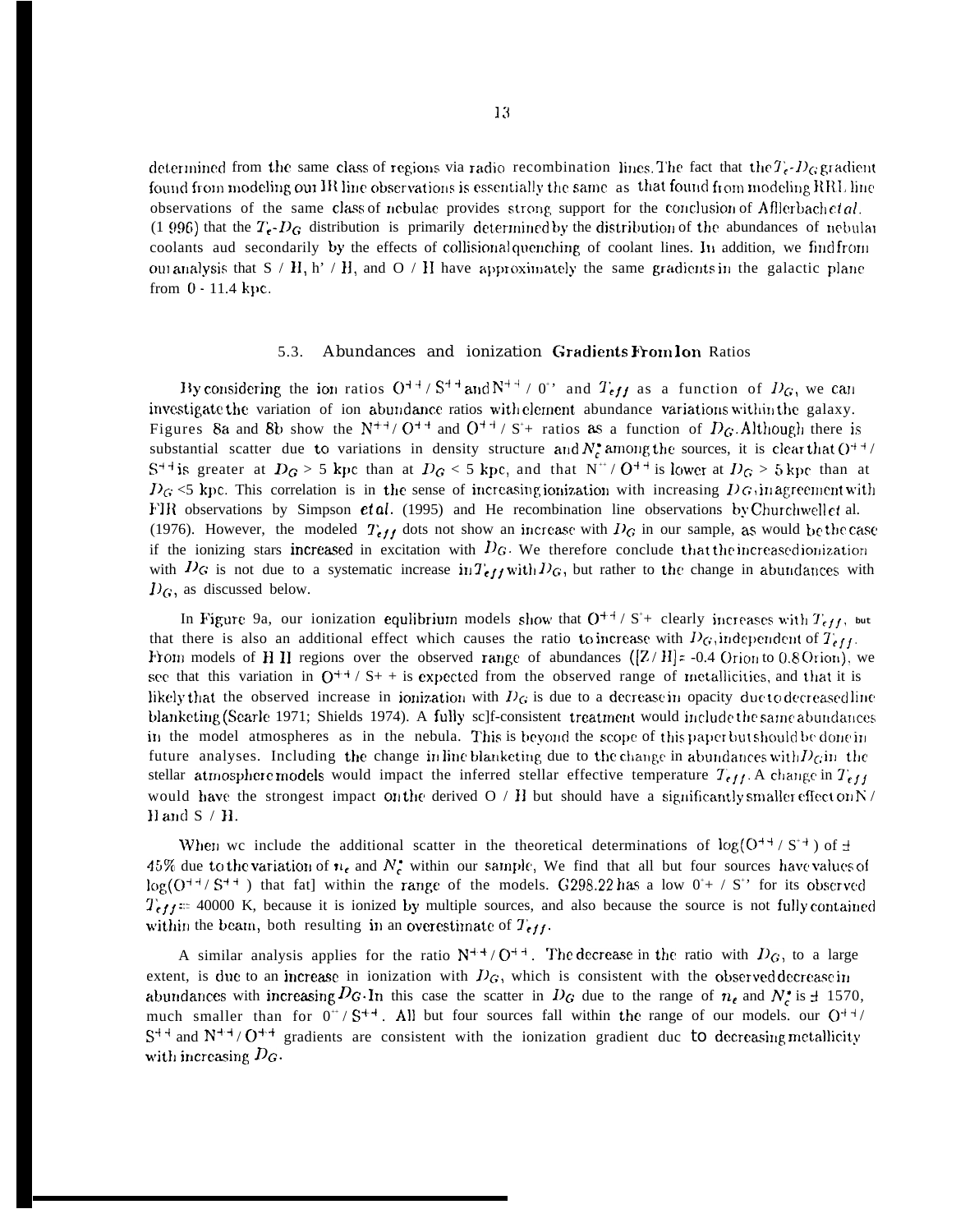determined from the same class of regions via radio recombination lines. The fact that the  $T_c$ -D<sub>G</sub> gradient found from modeling our IR line observations is essentially the same as that found from modeling RRL line observations of the same class of nebulae provides strong support for the conclusion of Afflerbach et al. (1 996) that the  $T_{\epsilon}$ -D<sub>G</sub> distribution is primarily determined by the distribution of the abundances of nebular coolants aud secondarily by the effects of collisional quenching of coolant lines. In addition, we findfrom our analysis that  $S/H$ , h' / H, and O / H have approximately the same gradients in the galactic plane from  $0 - 11.4$  kpc.

#### Abundances and ionization Gradients From lon Ratios  $5.3.$

By considering the ion ratios  $O^{++}/S^{++}$  and  $N^{++}/O^{+}$  and  $T_{eff}$  as a function of  $D_G$ , we can investigate the variation of ion abundance ratios with element abundance variations within the galaxy. Figures 8a and 8b show the  $N^{+1}/0^{+4}$  and  $0^{+4}/S^{+}$  ratios as a function of  $D_G$ . Although there is substantial scatter due to variations in density structure and  $N_c^*$  among the sources, it is clear that  $O^{++}$  $S^{++}$  is greater at  $D_G > 5$  kpc than at  $D_G < 5$  kpc, and that  $N^+ / O^{++}$  is lower at  $D_G > 5$  kpc than at  $D_G \le 5$  kpc. This correlation is in the sense of increasing ionization with increasing  $D_G$ , in agreement with FIR observations by Simpson *et al.* (1995) and He recombination line observations by Churchwell *et al.* (1976). However, the modeled  $T_{eff}$  dots not show an increase with  $D_G$  in our sample, as would be the case if the ionizing stars increased in excitation with  $D_G$ . We therefore conclude that the increased ionization with  $D_G$  is not due to a systematic increase in  $T_{eff}$  with  $D_G$ , but rather to the change in abundances with  $D_G$ , as discussed below.

In Figure 9a, our ionization equilibrium models show that  $O^{++}$  / S<sup>+</sup>+ clearly increases with  $T_{eff}$ , but that there is also an additional effect which causes the ratio to increase with  $D_G$ , independent of  $T_{eff}$ . From models of H II regions over the observed range of abundances  $([Z/H]z - 0.4$  Orion to 0.8 Orion), we see that this variation in  $O^{++}$  / S+ + is expected from the observed range of metallicities, and that it is likely that the observed increase in ionization with  $D_G$  is due to a decrease in opacity due to decreased line blanketing (Searle 1971; Shields 1974). A fully sc]f-consistent treatment would include the same abundances in the model atmospheres as in the nebula. This is beyond the scope of this paper but should be done in future analyses. Including the change in line blanketing due to the change in abundances with  $D_G$  in the stellar atmosphere models would impact the inferred stellar effective temperature  $T_{eff}$ . A change in  $T_{eff}$ would have the strongest impact on the derived O / H but should have a significantly smaller effect on N / H and  $S$  /  $H$ .

When we include the additional scatter in the theoretical determinations of  $log(O^{++} / S^{+})$  of  $\pm$ 45% due to the variation of  $n_e$  and  $N_c^*$  within our sample, We find that all but four sources have values of  $\log(O^{++}/S^{++})$  that fat] within the range of the models. G298.22 has a low  $0^+$  / S<sup>\*</sup> for its observed  $T_{eff}$  = 40000 K, because it is ionized by multiple sources, and also because the source is not fully contained within the beam, both resulting in an overestimate of  $T_{eff}$ .

A similar analysis applies for the ratio  $N^{++} / O^{++}$ . The decrease in the ratio with  $D_G$ , to a large extent, is due to an increase in ionization with  $D_G$ , which is consistent with the observed decrease in abundances with increasing  $D_G$ . In this case the scatter in  $D_G$  due to the range of  $n_e$  and  $N_e^*$  is  $\pm$  1570, much smaller than for  $0^+/S^{++}$ . All but four sources fall within the range of our models. our  $O^{++}/$  $S^{++}$  and  $N^{++}/O^{++}$  gradients are consistent with the ionization gradient due to decreasing metallicity with increasing  $D_G$ .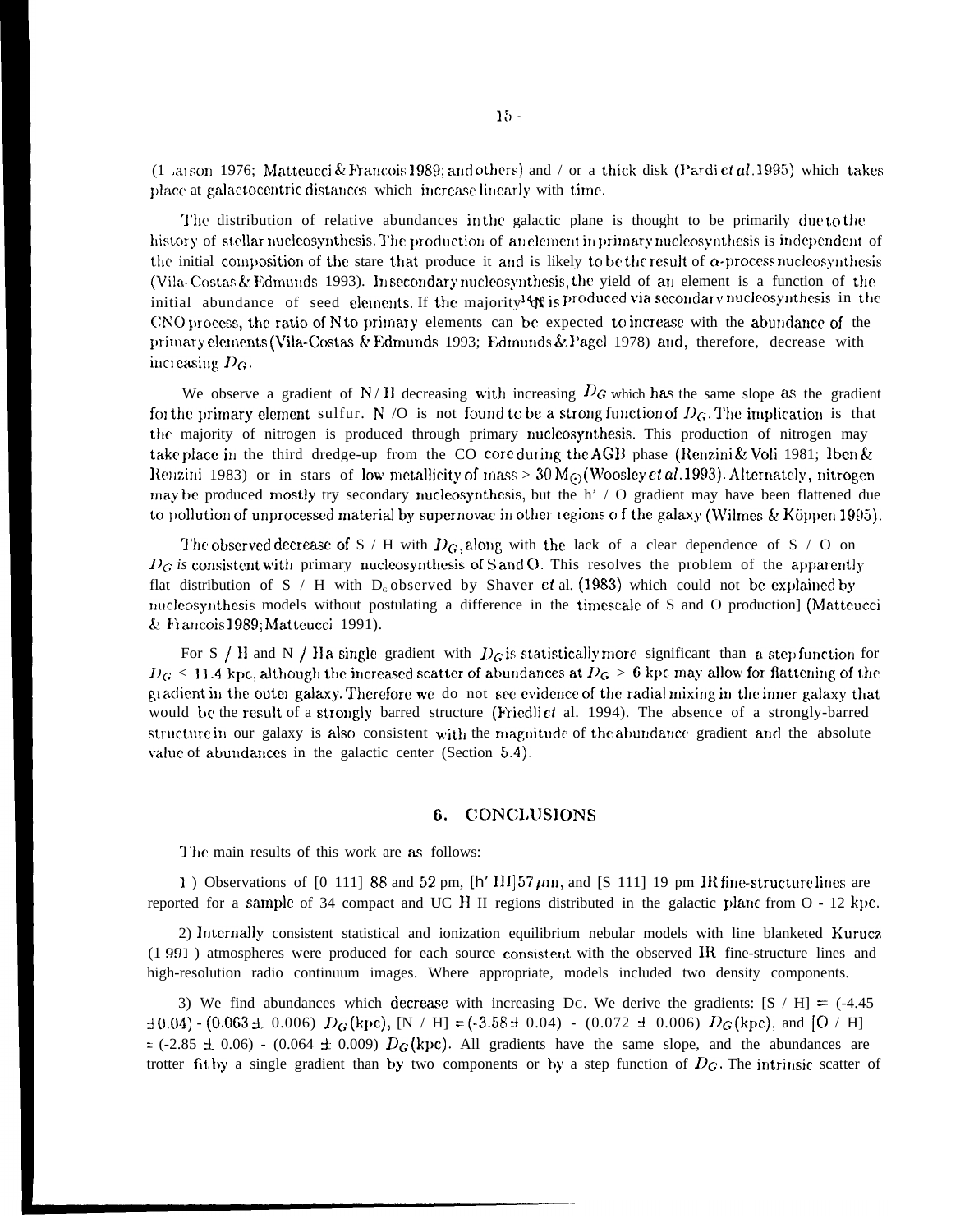(1 anson 1976; Matteucci & Francois 1989; and others) and / or a thick disk (Pardi et al. 1995) which takes place at galactocentric distances which increase linearly with time.

The distribution of relative abundances in the galactic plane is thought to be primarily due to the history of stellar nucleosynthesis. The production of an element in primary nucleosynthesis is independent of the initial composition of the stare that produce it and is likely to be the result of  $\alpha$ -process nucleosynthesis (Vila-Costas & Edmunds 1993). Insecondary nucleosynthesis, the yield of an element is a function of the initial abundance of seed elements. If the majority<sup>14</sup> is produced via secondary nucleosynthesis in the CNO process, the ratio of N to primary elements can be expected to increase with the abundance of the primary elements (Vila-Costas & Edmunds 1993; Edmunds & Pagel 1978) and, therefore, decrease with increasing  $D_G$ .

We observe a gradient of  $N/H$  decreasing with increasing  $D_G$  which has the same slope as the gradient for the primary element sulfur. N /O is not found to be a strong function of  $D_G$ . The implication is that the majority of nitrogen is produced through primary nucleosynthesis. This production of nitrogen may take place in the third dredge-up from the CO core during the AGB phase (Renzini & Voli 1981; Iben & Renzini 1983) or in stars of low metallicity of mass  $> 30 M_{\odot}$  (Woosley *et al.* 1993). Alternately, nitrogen may be produced mostly try secondary nucleosynthesis, but the h' / O gradient may have been flattened due to pollution of unprocessed material by supernovae in other regions of the galaxy (Wilmes & Köppen 1995).

The observed decrease of S / H with  $D_G$ , along with the lack of a clear dependence of S / O on  $D_G$  is consistent with primary nucleosynthesis of S and O. This resolves the problem of the apparently flat distribution of S / H with  $D_0$  observed by Shaver ct al. (1983) which could not be explained by nucleosynthesis models without postulating a difference in the timescale of S and O production] (Matteucci & Francois 1989; Matteucci 1991).

For S / H and N / H a single gradient with  $D_G$  is statistically more significant than a step function for  $D_G$  < 11.4 kpc, although the increased scatter of abundances at  $D_G > 6$  kpc may allow for flattening of the gradient in the outer galaxy. Therefore we do not see evidence of the radial mixing in the inner galaxy that would be the result of a strongly barred structure (Friedlict al. 1994). The absence of a strongly-barred structure in our galaxy is also consistent with the magnitude of the abundance gradient and the absolute value of abundances in the galactic center (Section 5.4).

### 6. CONCLUSIONS

The main results of this work are as follows:

1) Observations of [0 111] 88 and 52 pm,  $[h' III]$  57  $\mu$ m, and [S 111] 19 pm IR fine-structure lines are reported for a sample of 34 compact and UC H II regions distributed in the galactic plane from  $O - 12$  kpc.

2) Internally consistent statistical and ionization equilibrium nebular models with line blanketed Kurucz (1991) atmospheres were produced for each source consistent with the observed IR fine-structure lines and high-resolution radio continuum images. Where appropriate, models included two density components.

3) We find abundances which decrease with increasing Dc. We derive the gradients:  $[S / H] = (-4.45$  $\pm 0.04$ ) - (0.063  $\pm$  0.006)  $D_G$ (kpc), [N / H] = (-3.58  $\pm$  0.04) - (0.072  $\pm$  0.006)  $D_G$ (kpc), and [O / H]  $\approx$  (-2.85  $\pm$  0.06) - (0.064  $\pm$  0.009)  $D_G$ (kpc). All gradients have the same slope, and the abundances are trotter fit by a single gradient than by two components or by a step function of  $D_G$ . The intrinsic scatter of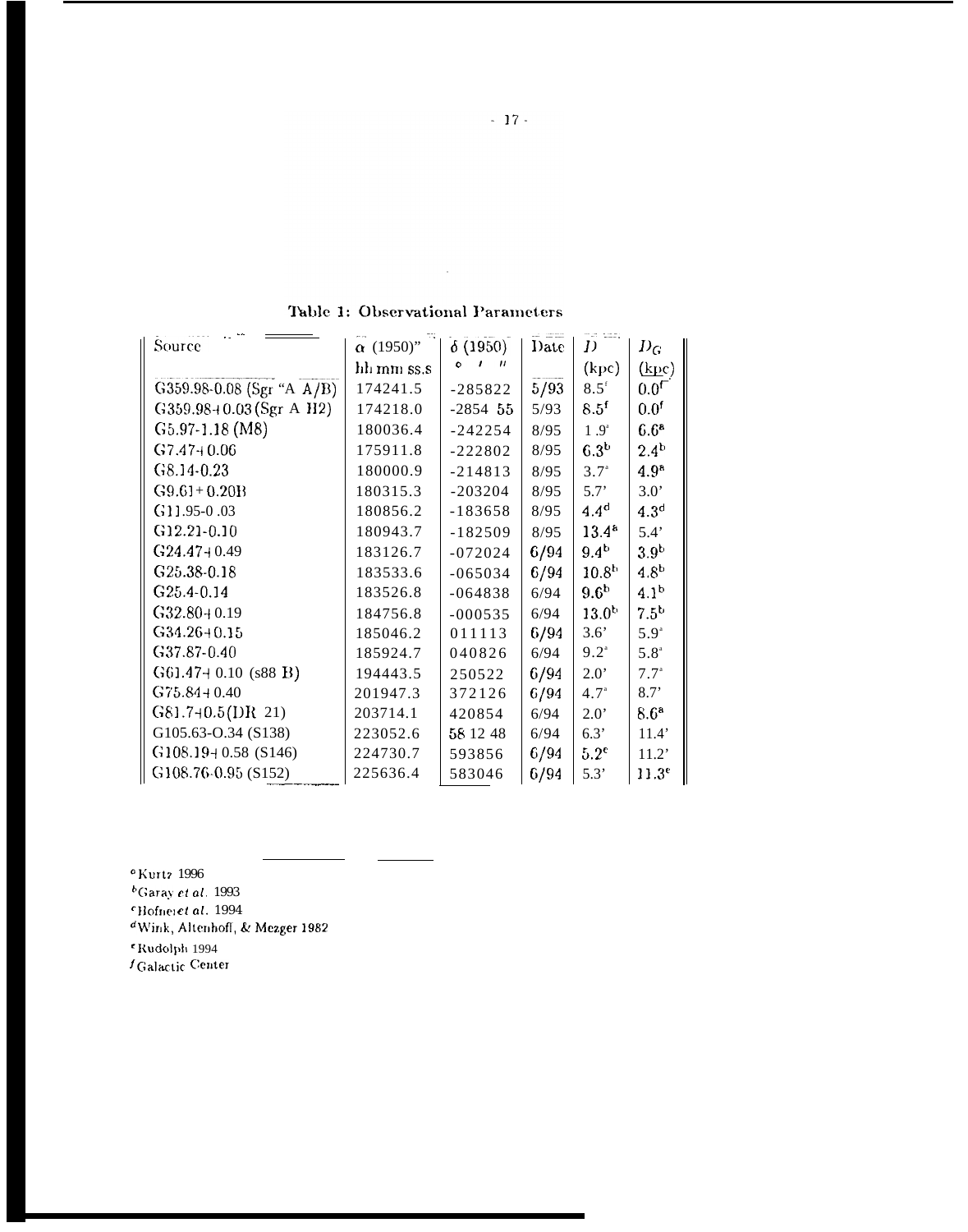| Table 1: Observational Parameters |  |
|-----------------------------------|--|
|                                   |  |

 $\hat{\mathcal{L}}$ 

| Source                       | $\alpha$ (1950)" | $\delta(1950)$ | Date | D                 | $D_{\boldsymbol{G}}$ |
|------------------------------|------------------|----------------|------|-------------------|----------------------|
|                              | hh mm ss.s       | O              |      | (kpc)             | (kpc)                |
| G359.98-0.08 (Sgr "A $A/B$ ) | 174241.5         | $-285822$      | 5/93 | 8.5 <sup>f</sup>  | $0.0^\mathsf{T}$     |
| $G359.98+0.03(Sgr A H2)$     | 174218.0         | $-2854$ 55     | 5/93 | 8.5 <sup>f</sup>  | 0.0 <sup>f</sup>     |
| $G5.97-1.18$ (M8)            | 180036.4         | $-242254$      | 8/95 | 1.9 <sup>a</sup>  | 6.6 <sup>a</sup>     |
| $G7.47+0.06$                 | 175911.8         | $-222802$      | 8/95 | 6.3 <sup>b</sup>  | $2.4^{b}$            |
| $G8.14 - 0.23$               | 180000.9         | $-214813$      | 8/95 | $3.7^{\circ}$     | 4.9 <sup>a</sup>     |
| $G9.61 + 0.20B$              | 180315.3         | $-203204$      | 8/95 | 5.7'              | $3.0^{\circ}$        |
| $G11.95-0.03$                | 180856.2         | $-183658$      | 8/95 | 4.4 <sup>d</sup>  | 4.3 <sup>d</sup>     |
| $G12.21 - 0.10$              | 180943.7         | $-182509$      | 8/95 | $13.4^{a}$        | 5.4'                 |
| $G$ 24.47+0.49               | 183126.7         | $-072024$      | 6/94 | $9.4^{b}$         | 3.9 <sup>b</sup>     |
| G25.38-0.18                  | 183533.6         | $-065034$      | 6/94 | 10.8 <sup>b</sup> | 4.8 <sup>b</sup>     |
| G <sub>25</sub> .4-0.14      | 183526.8         | $-064838$      | 6/94 | 9.6 <sup>b</sup>  | 4.1 <sup>b</sup>     |
| $G32.80 + 0.19$              | 184756.8         | $-000535$      | 6/94 | $13.0^{b}$        | $7.5^{b}$            |
| $G34.26 + 0.15$              | 185046.2         | 011113         | 6/94 | 3.6'              | 5.9 <sup>a</sup>     |
| G37.87-0.40                  | 185924.7         | 040826         | 6/94 | $9.2^{\circ}$     | 5.8 <sup>a</sup>     |
| $G61.47+0.10$ (s88 B)        | 194443.5         | 250522         | 6/94 | $2.0^{\circ}$     | $7.7^{\circ}$        |
| $G75.84 + 0.40$              | 201947.3         | 372126         | 6/94 | 4.7 <sup>a</sup>  | 8.7'                 |
| $G81.7+0.5(DR 21)$           | 203714.1         | 420854         | 6/94 | $2.0^{\circ}$     | 8.6 <sup>a</sup>     |
| G105.63-O.34 (S138)          | 223052.6         | 58 12 48       | 6/94 | 6.3'              | 11.4'                |
| $G108.19 + 0.58$ (S146)      | 224730.7         | 593856         | 6/94 | $5.2^{\circ}$     | 11.2'                |
| $\vert$ G108.76-0.95 (S152)  | 225636.4         | 583046         | 6/94 | 5.3'              | 11.3 <sup>e</sup>    |

 $^{\circ}$ Kurtz 1996

 $<sup>b</sup>$ Garay et al. 1993</sup>

<sup>c</sup>Hofner*et al.* 1994<br><sup>d</sup>Wink, Altenhoff, & Mezger 1982

<sup>e</sup> Rudolph 1994

 $\bar{t}$ Galactic Center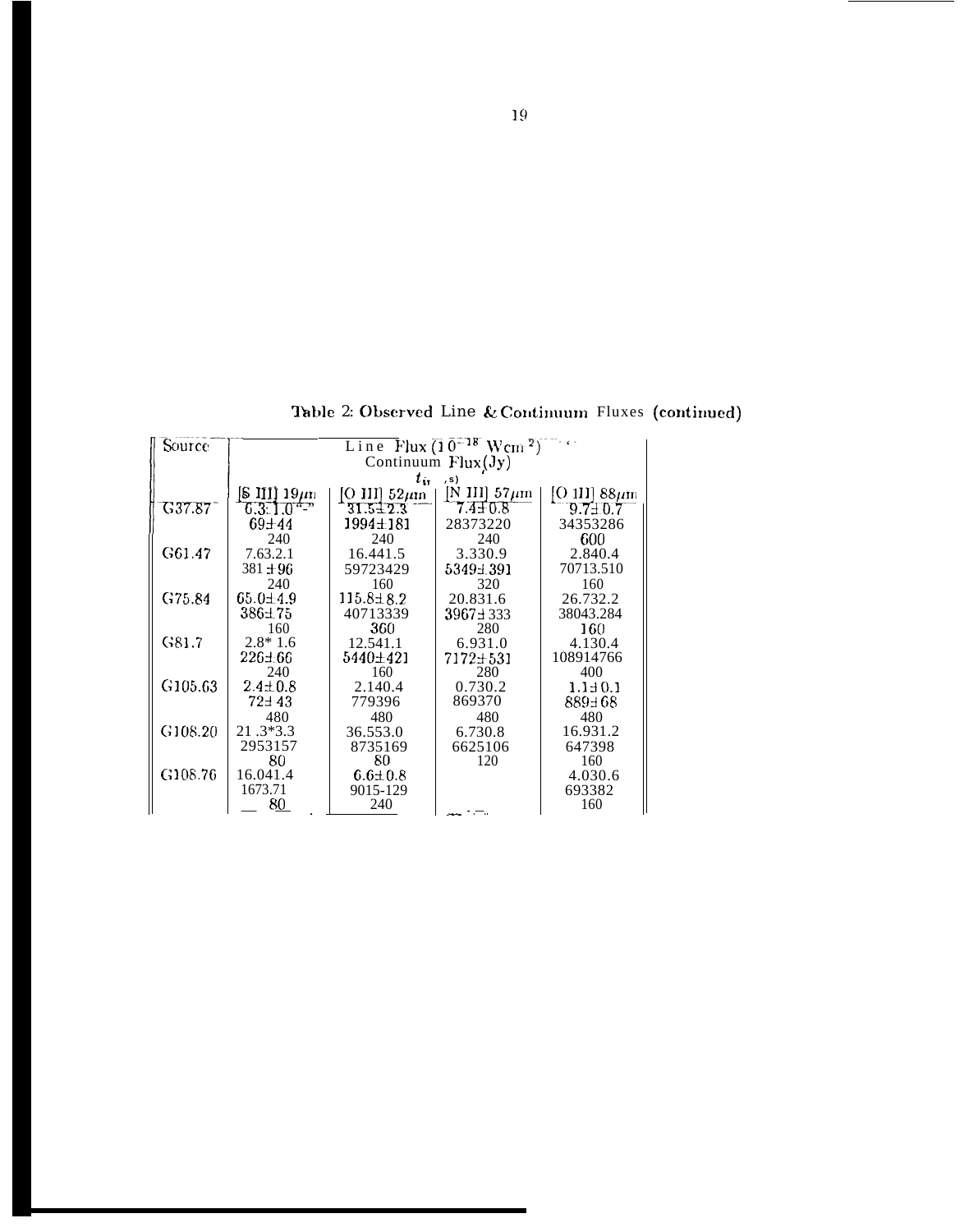Line Flux  $(\overline{1} \ \overline{0}^{-18} \text{ Wcm}^2)^{-1}$ Source  $t_{ir}$  $\stackrel{.}{\text{[N]}} \frac{1}{7.4 \pm 0.8}$  $\frac{{\rm [O\ 1II]}}{9.7 \pm 0.7} \frac{88 \mu {\rm m}}{34353286}$  $\frac{{\rm [O~III]}~52\mu {\rm m}}{{\rm 31.5\pm 2.3}}$ G37.87  $1994 \pm 181$ 28373220  $240\,$ 240 240 600 3.330.9 G61.47 7.63.2.1 16.441.5 2.840.4  $381 \pm 96$ 59723429 70713.510 5349±391 240 160 320 160 G75.84  $65.0 \pm 4.9$  $115.8 \pm 8.2$ 20.831.6 26.732.2 40713339  $\frac{3967 \pm 333}{280}$  $386 + 75$ 38043.284  $\frac{360}{12.541.1}$ 160  $160<sub>1</sub>$  $2.8*1.6$ G81.7 6.931.0 4.130.4  $226 \pm 66$  $7172 \pm 531$ <br>280 5440±421 108914766  $2.410$ <br> $2.410.8$ 160 400 G105.63 2.140.4 0.730.2  $1.140.1$  $72 + 43$ 779396 869370 889±68 480 480 480 480 21.3\*3.3<br>2953157 G108.20 36.553.0 6.730.8 16.931.2 8735169<br>80 6625106 647398 80 120 160  $16.041.4$ G108.76  $6.6{\pm}0.8$ 4.030.6 1673.71 9015-129 693382 ∥  $80$ 240 160 ست مس

Table 2: Observed Line & Continuum Fluxes (continued)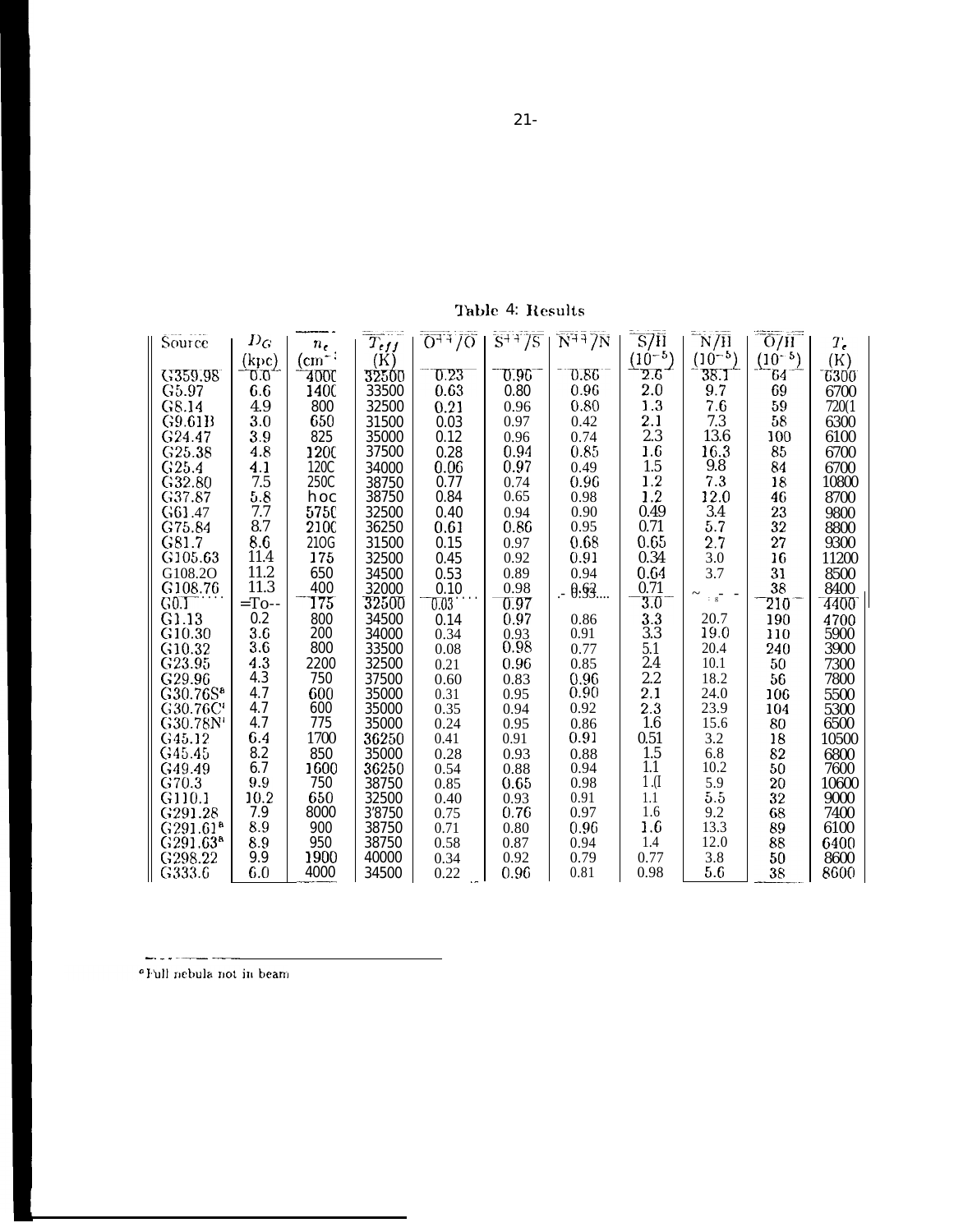Table 4: Results

| Source               | $D_G$    | $n_{\epsilon}$ | $T_{eff}$ | $0 + 10$ | $S^{++} / S$ | $N^{++}$ $7N$ | S7H          | $\rm \overline{N/H}$ | $\overline{\mathrm{O/H}}$ | $T_{\epsilon}$ |
|----------------------|----------|----------------|-----------|----------|--------------|---------------|--------------|----------------------|---------------------------|----------------|
|                      | (kpc)    | (cm            | (K)       |          |              |               | $(10^{-5})$  | $(10^{-5})$          | $(10^{-5})$               | (K)            |
| G359.98              | 0.0      | 400C           | 32500     | 0.23     | O.96         | 0.86          | $_{\rm 2.6}$ | 38.1                 | 64                        | 6300           |
| G5.97                | 6.6      | 1400           | 33500     | 0.63     | 0.80         | 0.96          | 2.0          | 9.7                  | 69                        | 6700           |
| G8.14                | 4.9      | 800            | 32500     | 0.21     | 0.96         | 0.80          | 1.3          | 7.6                  | 59                        | 720(1          |
| G9.61B               | 3.0      | 650            | 31500     | 0.03     | 0.97         | 0.42          | 2.1          | 7.3                  | 58                        | 6300           |
| G <sub>24.47</sub>   | 3.9      | 825            | 35000     | 0.12     | 0.96         | 0.74          | 2.3          | 13.6                 | 100                       | 6100           |
| G25.38               | 4.8      | 1200           | 37500     | 0.28     | 0.94         | 0.85          | $1.6\,$      | 16.3                 | 85                        | 6700           |
| G25.4                | 4.1      | 120C           | 34000     | 0.06     | 0.97         | 0.49          | 1.5          | 9.8                  | 84                        | 6700           |
| G32.80               | 7.5      | 250C           | 38750     | 0.77     | 0.74         | 0.96          | 1.2          | 7.3                  | 18                        | 10800          |
| G37.87               | 5.8      | hoc            | 38750     | 0.84     | 0.65         | 0.98          | 1.2          | 12.0                 | 46                        | 8700           |
| G61.47               | 7.7      | 5750           | 32500     | 0.40     | 0.94         | 0.90          | 0.49         | 3.4                  | 23                        | 9800           |
| G75.84               | 8.7      | 2100           | 36250     | 0.61     | 0.86         | 0.95          | 0.71         | 5.7                  | 32                        | 8800           |
| G81.7                | 8.6      | 210G           | 31500     | 0.15     | 0.97         | 0.68          | 0.65         | 2.7                  | 27                        | 9300           |
| G105.63              | 11.4     | 175            | 32500     | 0.45     | 0.92         | 0.91          | 0.34         | 3.0                  | 16                        | 11200          |
| G108.2O              | 11.2     | 650            | 34500     | 0.53     | 0.89         | 0.94          | 0.64         | 3.7                  | 31                        | 8500           |
| G108.76              | 11.3     | 400            | 32000     | 0.10     | 0.98         | . - 0:93      | 0.71         |                      | 38                        | 8400           |
| G0.I                 | $=$ To-- | 175            | $32500\,$ | 0.03     | 0.97         |               | 3.0          | $\therefore$ g       | 210                       | 4400           |
| G1.13                | 0.2      | 800            | 34500     | 0.14     | 0.97         | 0.86          | 3.3          | 20.7                 | 190                       | 4700           |
| G <sub>10.30</sub>   | 3.6      | 200            | 34000     | 0.34     | 0.93         | 0.91          | 3.3          | 19.0                 | 110                       | 5900           |
| G <sub>10.32</sub>   | 3.6      | 800            | 33500     | 0.08     | 0.98         | 0.77          | 5.1          | 20.4                 | 240                       | 3900           |
| G23.95               | 4.3      | 2200           | 32500     | 0.21     | 0.96         | 0.85          | 2.4          | 10.1                 | 50                        | 7300           |
| G29.96               | 4.3      | 750            | 37500     | 0.60     | 0.83         | 0.96          | 2.2          | 18.2                 | 56                        | 7800           |
| G30.76S <sup>a</sup> | 4.7      | 600            | 35000     | 0.31     | 0.95         | 0.90          | 2.1          | 24.0                 | 106                       | 5500           |
| G30.76C              | 4.7      | 600            | 35000     | 0.35     | 0.94         | 0.92          | $2.3\,$      | 23.9                 | 104                       | 5300           |
| G30.78N'             | 4.7      | 775            | 35000     | 0.24     | 0.95         | 0.86          | 1.6          | 15.6                 | 80                        | 6500           |
| G45.12               | 6.4      | 1700           | 36250     | 0.41     | 0.91         | 0.91          | 0.51         | 3.2                  | 18                        | 10500          |
| G45.45               | 8.2      | 850            | 35000     | 0.28     | 0.93         | 0.88          | 1.5          | 6.8                  | 82                        | 6800           |
| G49.49               | 6.7      | 1600           | 36250     | 0.54     | 0.88         | 0.94          | 1.1          | 10.2                 | 50                        | 7600           |
| G70.3                | 9.9      | 750            | 38750     | 0.85     | 0.65         | 0.98          | $1 \n(I)$    | 5.9                  | $20\,$                    | 10600          |
| G110.1               | 10.2     | 650            | 32500     | 0.40     | 0.93         | 0.91          | 1.1          | 5.5                  | 32                        | 9000           |
| G291.28              | 7.9      | 8000           | 3'8750    | 0.75     | 0.76         | 0.97          | 1.6          | 9.2                  | 68                        | 7400           |
| G291.61 <sup>a</sup> | 8.9      | 900            | 38750     | 0.71     | 0.80         | 0.96          | 1.6          | 13.3                 | 89                        | 6100           |
| G291.63 <sup>a</sup> | 8.9      | 950            | 38750     | 0.58     | 0.87         | 0.94          | 1.4          | 12.0                 | 88                        | 6400           |
| G298.22              | 9.9      | 1900           | 40000     | 0.34     | 0.92         | 0.79          | 0.77         | 3.8                  | 50                        | 8600           |
| G333.6               | 6.0      | 4000           | 34500     | 0.22     | 0.96         | 0.81          | 0.98         | 5.6                  | 38                        | 8600           |

"Full nebula not in beam

وبداية الرابطة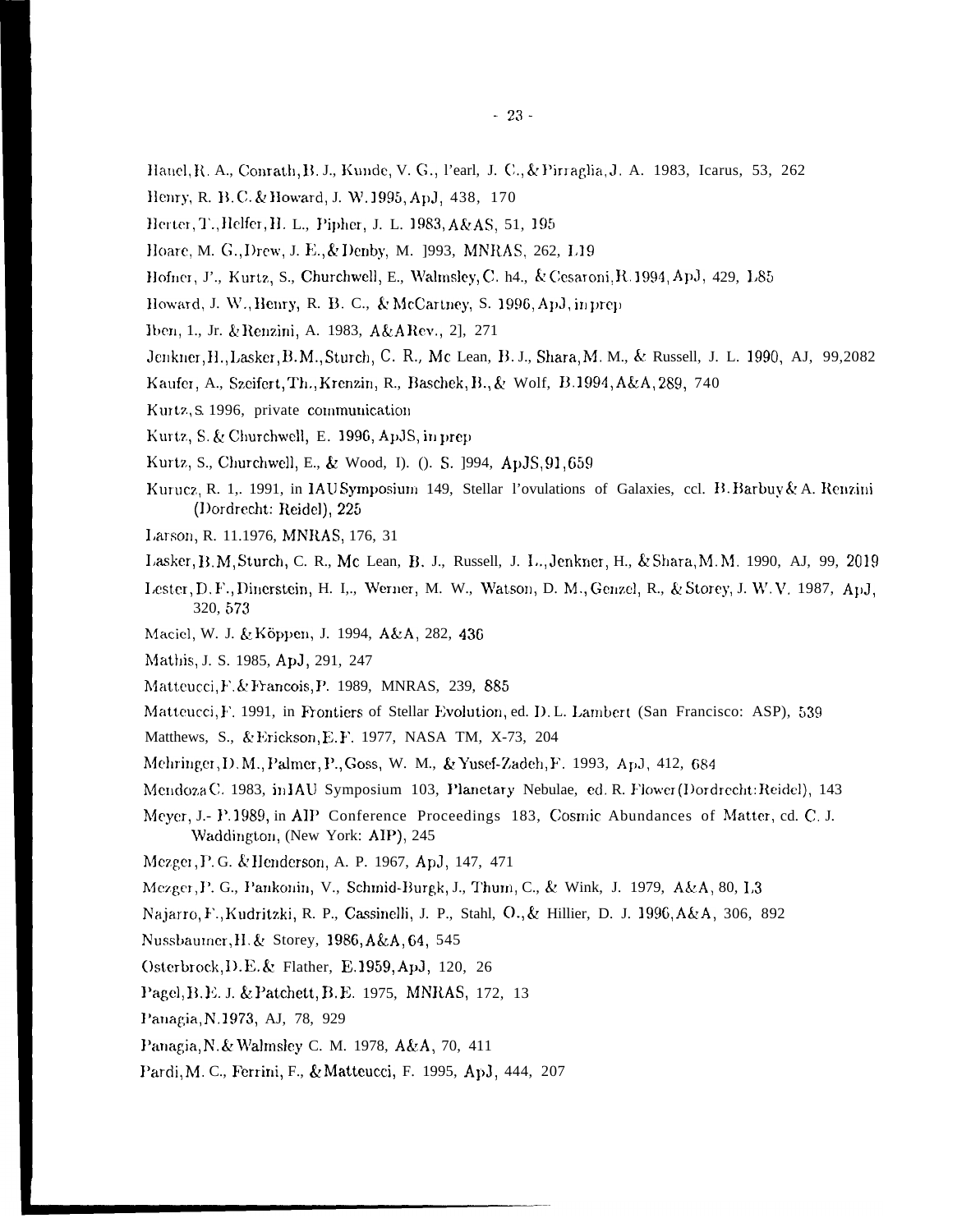- Hanel, R. A., Conrath, B. J., Kunde, V. G., l'earl, J. C., & Pirraglia, J. A. 1983, Icarus, 53, 262
- Henry, R. B.C. & Howard, J. W. 1995, ApJ, 438, 170
- Herter, T., Helfer, H. L., Pipher, J. L. 1983, A&AS, 51, 195
- Hoare, M. G., Drew, J. E., & Denby, M. 1993, MNRAS, 262, L19
- Hofner, J'., Kurtz, S., Churchwell, E., Walmsley, C. h4., & Cesaroni, R. 1994, ApJ, 429, L85
- Howard, J. W., Henry, R. B. C., & McCartney, S. 1996, ApJ, in prep
- Iben, 1., Jr. & Renzini, A. 1983, A&ARev., 2], 271
- Jenkner, H., Lasker, B.M., Sturch, C. R., Mc Lean, B. J., Shara, M. M., & Russell, J. L. 1990, AJ, 99,2082
- Kaufer, A., Szeifert, Th., Krenzin, R., Baschek, B., & Wolf, B.1994, A&A, 289, 740
- Kurtz, S. 1996, private communication
- Kurtz, S. & Churchwell, E. 1996, ApJS, in prep
- Kurtz, S., Churchwell, E., & Wood, I). (). S. 1994, ApJS, 91, 659
- Kurucz, R. 1,. 1991, in IAUSymposium 149, Stellar l'ovulations of Galaxies, ccl. B. Barbuy & A. Renzini (Dordrecht: Reidel), 225
- Larson, R. 11.1976, MNRAS, 176, 31
- Lasker, B. M, Sturch, C. R., Mc Lean, B. J., Russell, J. L., Jenkner, H., & Shara, M. M. 1990, AJ, 99, 2019
- Lester, D. F., Dinerstein, H. I.,, Werner, M. W., Watson, D. M., Genzel, R., & Storey, J. W. V. 1987, ApJ, 320, 573
- Maciel, W. J. & Köppen, J. 1994, A&A, 282, 436
- Mathis, J. S. 1985, ApJ, 291, 247
- Matteucci, F. & Francois, P. 1989, MNRAS, 239, 885
- Matteucci, F. 1991, in Frontiers of Stellar Evolution, ed. D.L. Lambert (San Francisco: ASP), 539
- Matthews, S., & Erickson, E. F. 1977, NASA TM, X-73, 204
- Mehringer, D. M., Palmer, P., Goss, W. M., & Yusef-Zadeh, F. 1993, ApJ, 412, 684
- Mendoza C. 1983, in IAU Symposium 103, Planetary Nebulae, ed. R. Flower (Dordrecht: Reidel), 143
- Meyer, J.- P. 1989, in AIP Conference Proceedings 183, Cosmic Abundances of Matter, cd. C. J. Waddington, (New York: AIP), 245
- Mezger, P. G. & Henderson, A. P. 1967, ApJ, 147, 471
- Mezger, P. G., Pankonin, V., Schmid-Burgk, J., Thum, C., & Wink, J. 1979, A&A, 80, L3
- Najarro, F., Kudritzki, R. P., Cassinelli, J. P., Stahl, O., & Hillier, D. J. 1996, A&A, 306, 892
- Nussbaumer, H. & Storey, 1986, A&A, 64, 545
- Osterbrock, D.E. & Flather, E.1959, ApJ, 120, 26
- Pagel, B. E. J. & Patchett, B. E. 1975, MNRAS, 172, 13
- Panagia, N.1973, AJ, 78, 929
- Panagia, N. & Walmsley C. M. 1978, A&A, 70, 411
- Pardi, M. C., Ferrini, F., & Matteucci, F. 1995, ApJ, 444, 207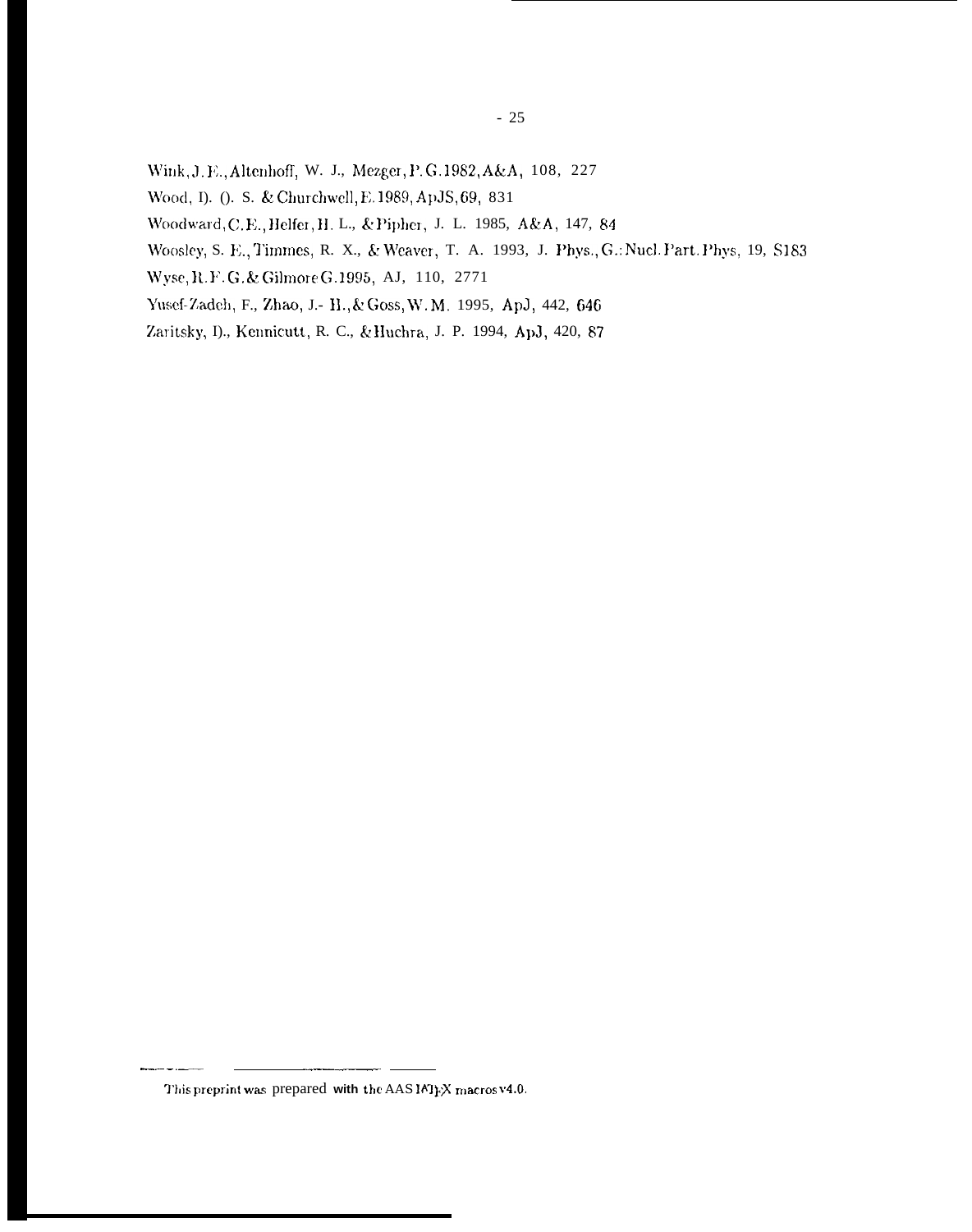- Wink, J. E., Altenhoff, W. J., Mezger, P. G. 1982, A&A, 108, 227
- Wood, D. O. S. & Churchwell, E.1989, ApJS, 69, 831
- Woodward, C.E., Helfer, H. L., & Pipher, J. L. 1985, A&A, 147, 84
- Woosley, S. E., Timmes, R. X., & Weaver, T. A. 1993, J. Phys., G.: Nucl. Part. Phys, 19, S183
- Wyse, R. F. G. & Gilmore G. 1995, AJ, 110, 2771
- Yusef-Zadeh, F., Zhao, J.- H., & Goss, W.M. 1995, ApJ, 442, 646
- Zaritsky, I)., Kennicutt, R. C., & Huchra, J. P. 1994, ApJ, 420, 87

This preprint was prepared with the AAS IATEX macrosv4.0.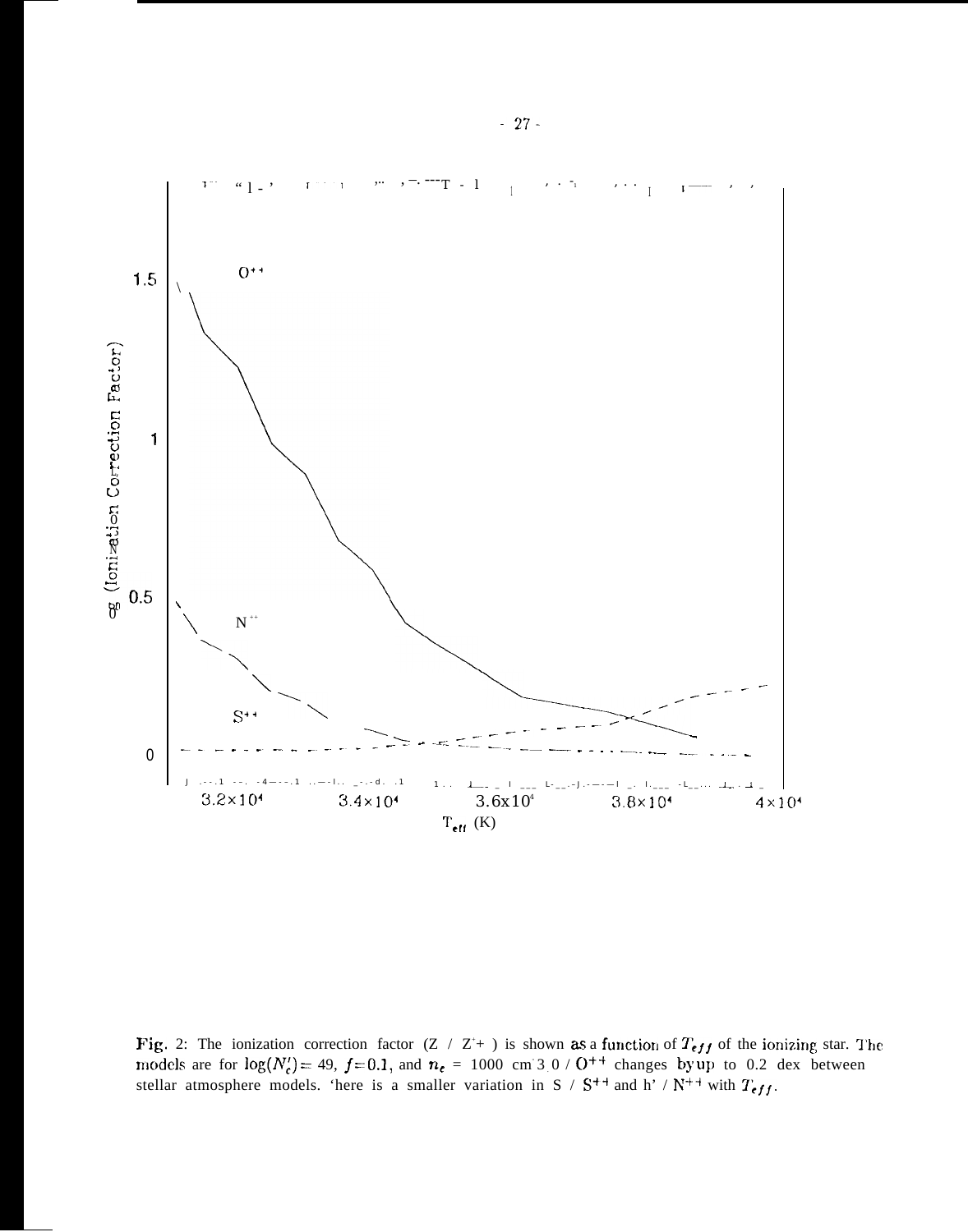

Fig. 2: The ionization correction factor  $(Z / Z^+)$  is shown as a function of  $T_{eff}$  of the ionizing star. The models are for  $log(N'_c) = 49$ ,  $f=0.1$ , and  $n_e = 1000$  cm 3 0 /  $O^{++}$  changes by up to 0.2 dex between stellar atmosphere models. 'here is a smaller variation in S /  $S^{++}$  and h' /  $N^{++}$  with  $T_{eff}$ .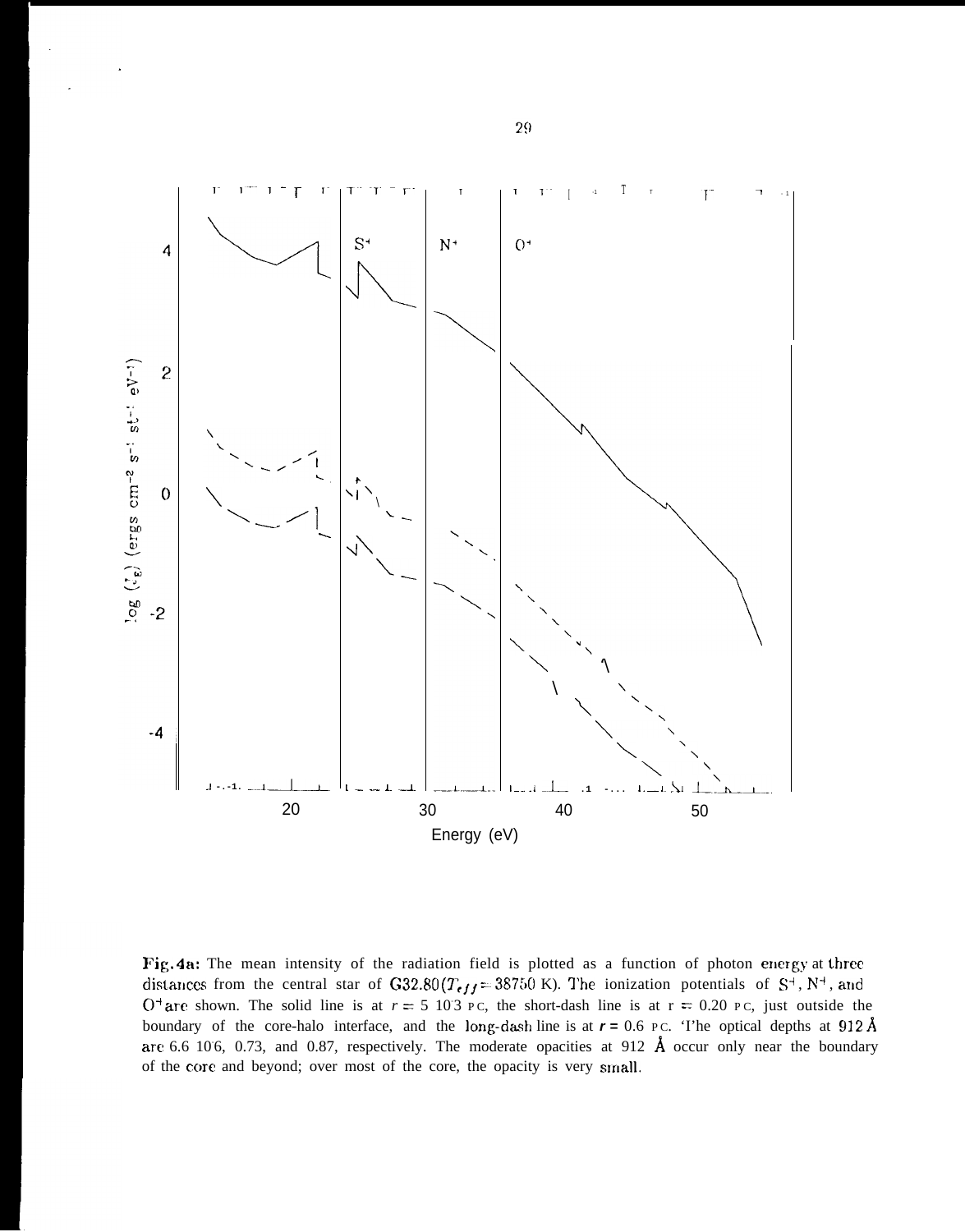

Fig. 4n: The mean intensity of the radiation field is plotted as a function of photon energy at three distances from the central star of G32.80 ( $T_{eff} = 38750$  K). The ionization potentials of S<sup>+</sup>, N<sup>+</sup>, and  $O<sup>+</sup>$  are shown. The solid line is at  $r = 5\ 103$  PC, the short-dash line is at  $r = 0.20$  PC, just outside the boundary of the core-halo interface, and the long-dash line is at  $r = 0.6$  PC. 'I'he optical depths at 912 Å are 6.6 106, 0.73, and 0.87, respectively. The moderate opacities at 912  $\AA$  occur only near the boundary of the core and beyond; over most of the core, the opacity is very small.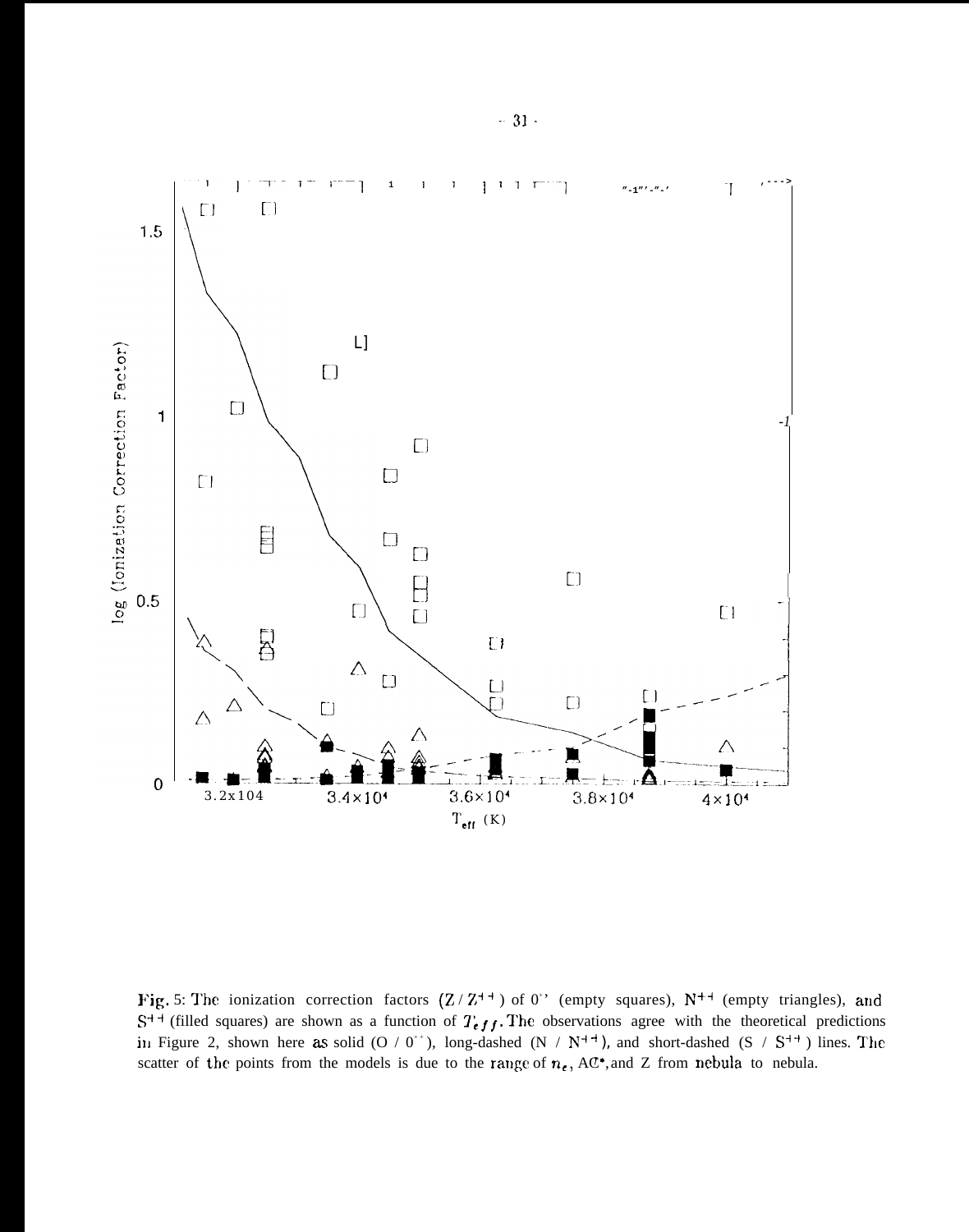

Fig. 5: The ionization correction factors  $(Z/Z^{++})$  of 0<sup>\*</sup> (empty squares),  $N^{++}$  (empty triangles), and  $S^{++}$  (filled squares) are shown as a function of  $T_{eff}$ . The observations agree with the theoretical predictions in Figure 2, shown here as solid (O / 0<sup>++</sup>), long-dashed (N /  $N^{+4}$ ), and short-dashed (S /  $S^{+4}$ ) lines. The scatter of the points from the models is due to the range of  $n_e$ , AC<sup>\*</sup>, and Z from nebula to nebula.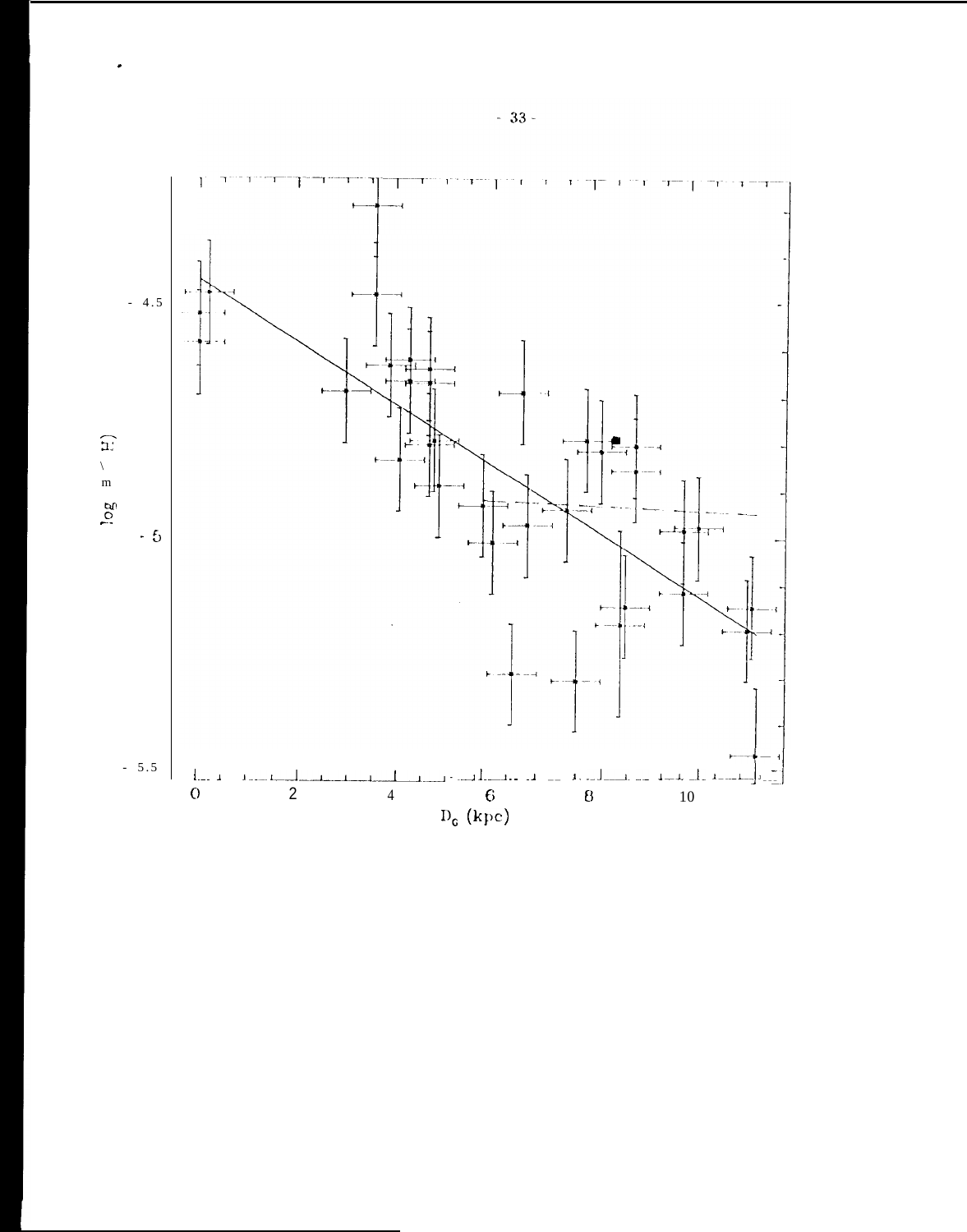

 $\ddot{\phantom{0}}$